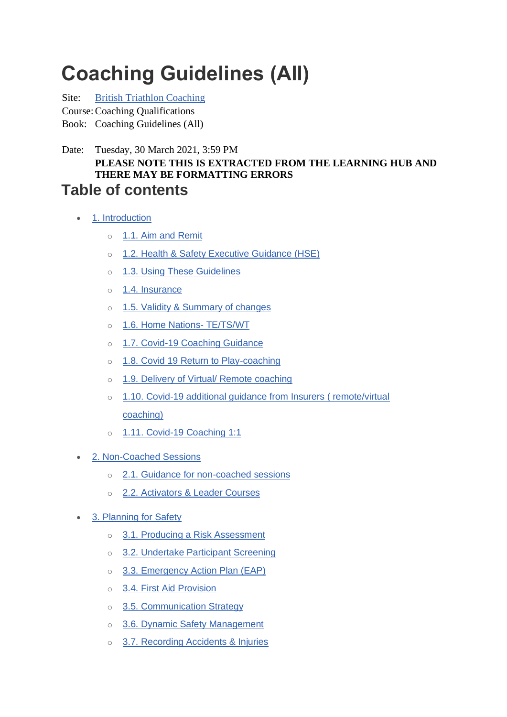# **Coaching Guidelines (All)**

Site: [British Triathlon Coaching](https://learninghub.britishtriathlon.org/)

Course:Coaching Qualifications

Book: Coaching Guidelines (All)

Date: Tuesday, 30 March 2021, 3:59 PM **PLEASE NOTE THIS IS EXTRACTED FROM THE LEARNING HUB AND THERE MAY BE FORMATTING ERRORS Table of contents**

- [1. Introduction](https://learninghub.britishtriathlon.org/mod/book/tool/print/index.php?id=4019#ch11291)
	- o [1.1. Aim and Remit](https://learninghub.britishtriathlon.org/mod/book/tool/print/index.php?id=4019#ch11292)
	- o [1.2. Health & Safety Executive Guidance \(HSE\)](https://learninghub.britishtriathlon.org/mod/book/tool/print/index.php?id=4019#ch11293)
	- o [1.3. Using These Guidelines](https://learninghub.britishtriathlon.org/mod/book/tool/print/index.php?id=4019#ch11294)
	- o [1.4. Insurance](https://learninghub.britishtriathlon.org/mod/book/tool/print/index.php?id=4019#ch11295)
	- o [1.5. Validity & Summary of changes](https://learninghub.britishtriathlon.org/mod/book/tool/print/index.php?id=4019#ch11296)
	- o [1.6. Home Nations-](https://learninghub.britishtriathlon.org/mod/book/tool/print/index.php?id=4019#ch11353) TE/TS/WT
	- o [1.7. Covid-19 Coaching Guidance](https://learninghub.britishtriathlon.org/mod/book/tool/print/index.php?id=4019#ch11392)
	- o [1.8. Covid 19 Return to Play-coaching](https://learninghub.britishtriathlon.org/mod/book/tool/print/index.php?id=4019#ch11609)
	- o [1.9. Delivery of Virtual/ Remote coaching](https://learninghub.britishtriathlon.org/mod/book/tool/print/index.php?id=4019#ch11596)
	- o [1.10. Covid-19 additional guidance from Insurers \( remote/virtual](https://learninghub.britishtriathlon.org/mod/book/tool/print/index.php?id=4019#ch11393)  [coaching\)](https://learninghub.britishtriathlon.org/mod/book/tool/print/index.php?id=4019#ch11393)
	- o [1.11. Covid-19 Coaching 1:1](https://learninghub.britishtriathlon.org/mod/book/tool/print/index.php?id=4019#ch11394)
- [2. Non-Coached Sessions](https://learninghub.britishtriathlon.org/mod/book/tool/print/index.php?id=4019#ch11347)
	- o [2.1. Guidance for non-coached sessions](https://learninghub.britishtriathlon.org/mod/book/tool/print/index.php?id=4019#ch11348)
	- o [2.2. Activators & Leader Courses](https://learninghub.britishtriathlon.org/mod/book/tool/print/index.php?id=4019#ch11349)
- [3. Planning for Safety](https://learninghub.britishtriathlon.org/mod/book/tool/print/index.php?id=4019#ch11297)
	- o [3.1. Producing a Risk Assessment](https://learninghub.britishtriathlon.org/mod/book/tool/print/index.php?id=4019#ch11298)
	- o [3.2. Undertake Participant Screening](https://learninghub.britishtriathlon.org/mod/book/tool/print/index.php?id=4019#ch11299)
	- o [3.3. Emergency Action Plan \(EAP\)](https://learninghub.britishtriathlon.org/mod/book/tool/print/index.php?id=4019#ch11300)
	- o [3.4. First Aid Provision](https://learninghub.britishtriathlon.org/mod/book/tool/print/index.php?id=4019#ch11301)
	- o [3.5. Communication Strategy](https://learninghub.britishtriathlon.org/mod/book/tool/print/index.php?id=4019#ch11302)
	- o [3.6. Dynamic Safety Management](https://learninghub.britishtriathlon.org/mod/book/tool/print/index.php?id=4019#ch11303)
	- o [3.7. Recording Accidents & Injuries](https://learninghub.britishtriathlon.org/mod/book/tool/print/index.php?id=4019#ch11304)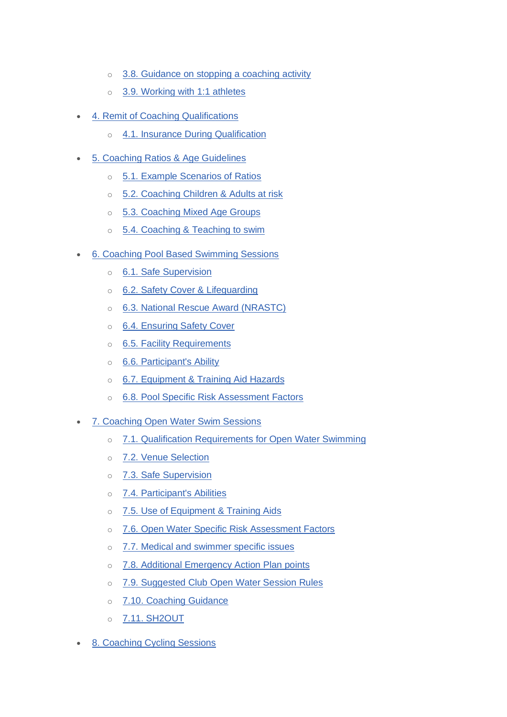- o [3.8. Guidance on stopping a coaching activity](https://learninghub.britishtriathlon.org/mod/book/tool/print/index.php?id=4019#ch11359)
- o [3.9. Working with 1:1 athletes](https://learninghub.britishtriathlon.org/mod/book/tool/print/index.php?id=4019#ch11370)
- [4. Remit of Coaching Qualifications](https://learninghub.britishtriathlon.org/mod/book/tool/print/index.php?id=4019#ch11305)
	- o [4.1. Insurance During Qualification](https://learninghub.britishtriathlon.org/mod/book/tool/print/index.php?id=4019#ch11306)
- [5. Coaching Ratios & Age Guidelines](https://learninghub.britishtriathlon.org/mod/book/tool/print/index.php?id=4019#ch11308)
	- o [5.1. Example Scenarios of Ratios](https://learninghub.britishtriathlon.org/mod/book/tool/print/index.php?id=4019#ch11311)
	- o [5.2. Coaching Children & Adults at risk](https://learninghub.britishtriathlon.org/mod/book/tool/print/index.php?id=4019#ch11309)
	- o [5.3. Coaching Mixed Age Groups](https://learninghub.britishtriathlon.org/mod/book/tool/print/index.php?id=4019#ch11310)
	- o 5.4. Coaching & [Teaching to swim](https://learninghub.britishtriathlon.org/mod/book/tool/print/index.php?id=4019#ch11307)
- [6. Coaching Pool Based Swimming Sessions](https://learninghub.britishtriathlon.org/mod/book/tool/print/index.php?id=4019#ch11312)
	- o [6.1. Safe Supervision](https://learninghub.britishtriathlon.org/mod/book/tool/print/index.php?id=4019#ch11313)
	- o [6.2. Safety Cover & Lifeguarding](https://learninghub.britishtriathlon.org/mod/book/tool/print/index.php?id=4019#ch11355)
	- o [6.3. National Rescue Award \(NRASTC\)](https://learninghub.britishtriathlon.org/mod/book/tool/print/index.php?id=4019#ch11358)
	- o [6.4. Ensuring Safety Cover](https://learninghub.britishtriathlon.org/mod/book/tool/print/index.php?id=4019#ch11356)
	- o [6.5. Facility Requirements](https://learninghub.britishtriathlon.org/mod/book/tool/print/index.php?id=4019#ch11357)
	- o [6.6. Participant's Ability](https://learninghub.britishtriathlon.org/mod/book/tool/print/index.php?id=4019#ch11314)
	- o [6.7. Equipment & Training Aid Hazards](https://learninghub.britishtriathlon.org/mod/book/tool/print/index.php?id=4019#ch11315)
	- o [6.8. Pool Specific Risk Assessment Factors](https://learninghub.britishtriathlon.org/mod/book/tool/print/index.php?id=4019#ch11316)
- [7. Coaching Open Water Swim Sessions](https://learninghub.britishtriathlon.org/mod/book/tool/print/index.php?id=4019#ch11317)
	- o [7.1. Qualification Requirements for Open Water Swimming](https://learninghub.britishtriathlon.org/mod/book/tool/print/index.php?id=4019#ch11318)
	- o 7.2. [Venue Selection](https://learninghub.britishtriathlon.org/mod/book/tool/print/index.php?id=4019#ch11319)
	- o [7.3. Safe Supervision](https://learninghub.britishtriathlon.org/mod/book/tool/print/index.php?id=4019#ch11320)
	- o [7.4. Participant's Abilities](https://learninghub.britishtriathlon.org/mod/book/tool/print/index.php?id=4019#ch11321)
	- o [7.5. Use of Equipment & Training Aids](https://learninghub.britishtriathlon.org/mod/book/tool/print/index.php?id=4019#ch11322)
	- o [7.6. Open Water Specific Risk Assessment Factors](https://learninghub.britishtriathlon.org/mod/book/tool/print/index.php?id=4019#ch11323)
	- o [7.7. Medical and swimmer specific issues](https://learninghub.britishtriathlon.org/mod/book/tool/print/index.php?id=4019#ch11371)
	- o [7.8. Additional Emergency Action Plan points](https://learninghub.britishtriathlon.org/mod/book/tool/print/index.php?id=4019#ch11324)
	- o [7.9. Suggested Club Open Water Session Rules](https://learninghub.britishtriathlon.org/mod/book/tool/print/index.php?id=4019#ch11325)
	- o [7.10. Coaching Guidance](https://learninghub.britishtriathlon.org/mod/book/tool/print/index.php?id=4019#ch11326)
	- o [7.11. SH2OUT](https://learninghub.britishtriathlon.org/mod/book/tool/print/index.php?id=4019#ch11354)
- [8. Coaching Cycling Sessions](https://learninghub.britishtriathlon.org/mod/book/tool/print/index.php?id=4019#ch11327)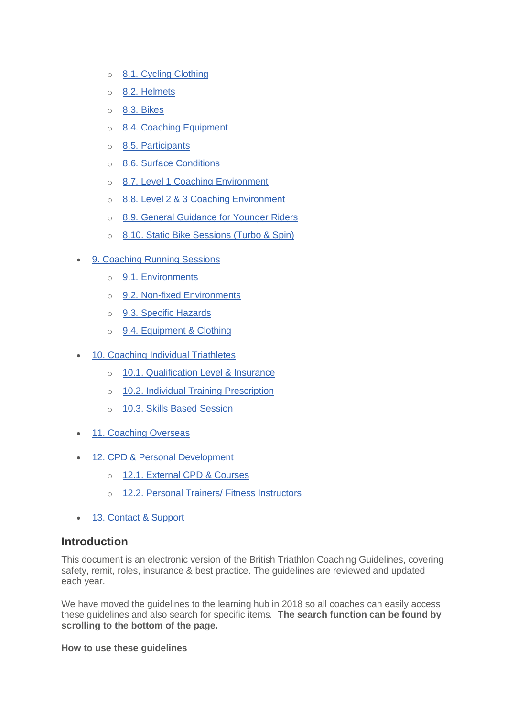- o [8.1. Cycling Clothing](https://learninghub.britishtriathlon.org/mod/book/tool/print/index.php?id=4019#ch11328)
- o [8.2. Helmets](https://learninghub.britishtriathlon.org/mod/book/tool/print/index.php?id=4019#ch11329)
- o [8.3. Bikes](https://learninghub.britishtriathlon.org/mod/book/tool/print/index.php?id=4019#ch11330)
- o [8.4. Coaching Equipment](https://learninghub.britishtriathlon.org/mod/book/tool/print/index.php?id=4019#ch11331)
- o 8.5. [Participants](https://learninghub.britishtriathlon.org/mod/book/tool/print/index.php?id=4019#ch11332)
- o [8.6. Surface Conditions](https://learninghub.britishtriathlon.org/mod/book/tool/print/index.php?id=4019#ch11333)
- o [8.7. Level 1 Coaching Environment](https://learninghub.britishtriathlon.org/mod/book/tool/print/index.php?id=4019#ch11334)
- o [8.8. Level 2 & 3 Coaching Environment](https://learninghub.britishtriathlon.org/mod/book/tool/print/index.php?id=4019#ch11335)
- o [8.9. General Guidance for Younger Riders](https://learninghub.britishtriathlon.org/mod/book/tool/print/index.php?id=4019#ch11336)
- o [8.10. Static Bike Sessions \(Turbo & Spin\)](https://learninghub.britishtriathlon.org/mod/book/tool/print/index.php?id=4019#ch11337)
- [9. Coaching Running Sessions](https://learninghub.britishtriathlon.org/mod/book/tool/print/index.php?id=4019#ch11338)
	- o [9.1. Environments](https://learninghub.britishtriathlon.org/mod/book/tool/print/index.php?id=4019#ch11339)
	- o [9.2. Non-fixed Environments](https://learninghub.britishtriathlon.org/mod/book/tool/print/index.php?id=4019#ch11340)
	- o [9.3. Specific Hazards](https://learninghub.britishtriathlon.org/mod/book/tool/print/index.php?id=4019#ch11341)
	- o [9.4. Equipment & Clothing](https://learninghub.britishtriathlon.org/mod/book/tool/print/index.php?id=4019#ch11342)
- [10. Coaching Individual Triathletes](https://learninghub.britishtriathlon.org/mod/book/tool/print/index.php?id=4019#ch11343)
	- o [10.1. Qualification Level & Insurance](https://learninghub.britishtriathlon.org/mod/book/tool/print/index.php?id=4019#ch11344)
	- o [10.2. Individual Training Prescription](https://learninghub.britishtriathlon.org/mod/book/tool/print/index.php?id=4019#ch11345)
	- o [10.3. Skills Based Session](https://learninghub.britishtriathlon.org/mod/book/tool/print/index.php?id=4019#ch11346)
- [11. Coaching Overseas](https://learninghub.britishtriathlon.org/mod/book/tool/print/index.php?id=4019#ch11361)
- [12. CPD & Personal Development](https://learninghub.britishtriathlon.org/mod/book/tool/print/index.php?id=4019#ch11350)
	- o [12.1. External CPD & Courses](https://learninghub.britishtriathlon.org/mod/book/tool/print/index.php?id=4019#ch11351)
	- o [12.2. Personal Trainers/ Fitness Instructors](https://learninghub.britishtriathlon.org/mod/book/tool/print/index.php?id=4019#ch11352)
- [13. Contact & Support](https://learninghub.britishtriathlon.org/mod/book/tool/print/index.php?id=4019#ch11360)

### **Introduction**

This document is an electronic version of the British Triathlon Coaching Guidelines, covering safety, remit, roles, insurance & best practice. The guidelines are reviewed and updated each year.

We have moved the guidelines to the learning hub in 2018 so all coaches can easily access these guidelines and also search for specific items. **The search function can be found by scrolling to the bottom of the page.**

**How to use these guidelines**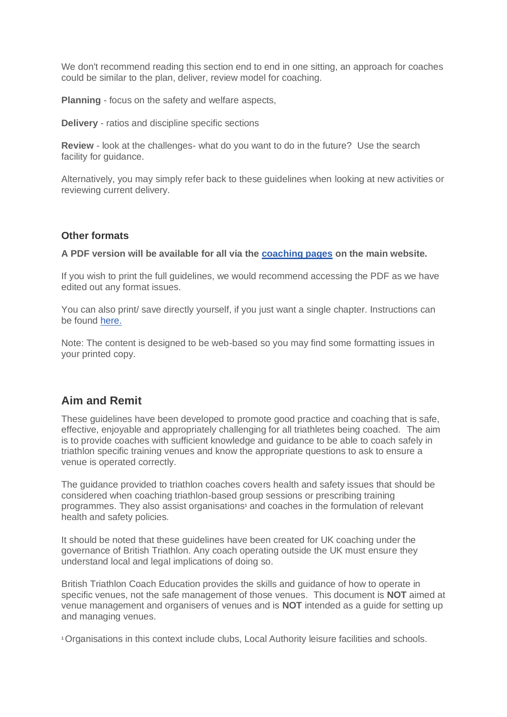We don't recommend reading this section end to end in one sitting, an approach for coaches could be similar to the plan, deliver, review model for coaching.

**Planning** - focus on the safety and welfare aspects,

**Delivery** - ratios and discipline specific sections

**Review** - look at the challenges- what do you want to do in the future? Use the search facility for quidance.

Alternatively, you may simply refer back to these guidelines when looking at new activities or reviewing current delivery.

#### **Other formats**

**A PDF version will be available for all via the [coaching pages](https://www.britishtriathlon.org/get-involved/coaching/coaching-guidelines-and-insurance) on the main website.**

If you wish to print the full guidelines, we would recommend accessing the PDF as we have edited out any format issues.

You can also print/ save directly yourself, if you just want a single chapter. Instructions can be found [here.](https://learninghub.britishtriathlon.org/mod/page/view.php?id=3006)

Note: The content is designed to be web-based so you may find some formatting issues in your printed copy.

### **Aim and Remit**

These guidelines have been developed to promote good practice and coaching that is safe, effective, enjoyable and appropriately challenging for all triathletes being coached. The aim is to provide coaches with sufficient knowledge and guidance to be able to coach safely in triathlon specific training venues and know the appropriate questions to ask to ensure a venue is operated correctly.

The guidance provided to triathlon coaches covers health and safety issues that should be considered when coaching triathlon-based group sessions or prescribing training programmes. They also assist organisations**<sup>1</sup>** and coaches in the formulation of relevant health and safety policies.

It should be noted that these guidelines have been created for UK coaching under the governance of British Triathlon. Any coach operating outside the UK must ensure they understand local and legal implications of doing so.

British Triathlon Coach Education provides the skills and guidance of how to operate in specific venues, not the safe management of those venues. This document is **NOT** aimed at venue management and organisers of venues and is **NOT** intended as a guide for setting up and managing venues.

**1**Organisations in this context include clubs, Local Authority leisure facilities and schools.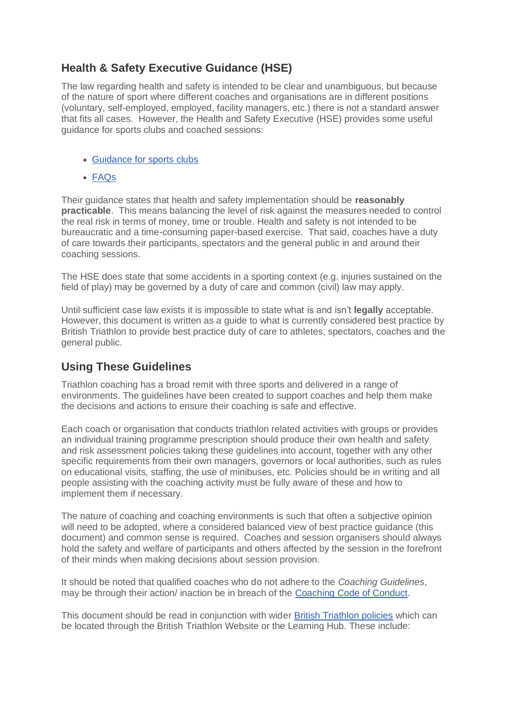# **Health & Safety Executive Guidance (HSE)**

The law regarding health and safety is intended to be clear and unambiguous, but because of the nature of sport where different coaches and organisations are in different positions (voluntary, self-employed, employed, facility managers, etc.) there is not a standard answer that fits all cases. However, the Health and Safety Executive (HSE) provides some useful guidance for sports clubs and coached sessions:

- [Guidance for sports clubs](http://www.hse.gov.uk/entertainment/leisure/amateur-sports-club.htm)
- [FAQs](http://www.hse.gov.uk/entertainment/leisure/faqs.htm)

Their guidance states that health and safety implementation should be **reasonably practicable**. This means balancing the level of risk against the measures needed to control the real risk in terms of money, time or trouble. Health and safety is not intended to be bureaucratic and a time-consuming paper-based exercise. That said, coaches have a duty of care towards their participants, spectators and the general public in and around their coaching sessions.

The HSE does state that some accidents in a sporting context (e.g. injuries sustained on the field of play) may be governed by a duty of care and common (civil) law may apply.

Until sufficient case law exists it is impossible to state what is and isn't **legally** acceptable. However, this document is written as a guide to what is currently considered best practice by British Triathlon to provide best practice duty of care to athletes, spectators, coaches and the general public.

# **Using These Guidelines**

Triathlon coaching has a broad remit with three sports and delivered in a range of environments. The guidelines have been created to support coaches and help them make the decisions and actions to ensure their coaching is safe and effective.

Each coach or organisation that conducts triathlon related activities with groups or provides an individual training programme prescription should produce their own health and safety and risk assessment policies taking these guidelines into account, together with any other specific requirements from their own managers, governors or local authorities, such as rules on educational visits, staffing, the use of minibuses, etc. Policies should be in writing and all people assisting with the coaching activity must be fully aware of these and how to implement them if necessary.

The nature of coaching and coaching environments is such that often a subjective opinion will need to be adopted, where a considered balanced view of best practice guidance (this document) and common sense is required. Coaches and session organisers should always hold the safety and welfare of participants and others affected by the session in the forefront of their minds when making decisions about session provision.

It should be noted that qualified coaches who do not adhere to the *Coaching Guidelines*, may be through their action/ inaction be in breach of the [Coaching Code of Conduct.](https://learninghub.britishtriathlon.org/mod/data/view.php?d=169&rid=24410)

This document should be read in conjunction with wider [British Triathlon policies](https://www.britishtriathlon.org/about-us/governance/policy-documents) which can be located through the British Triathlon Website or the Learning Hub. These include: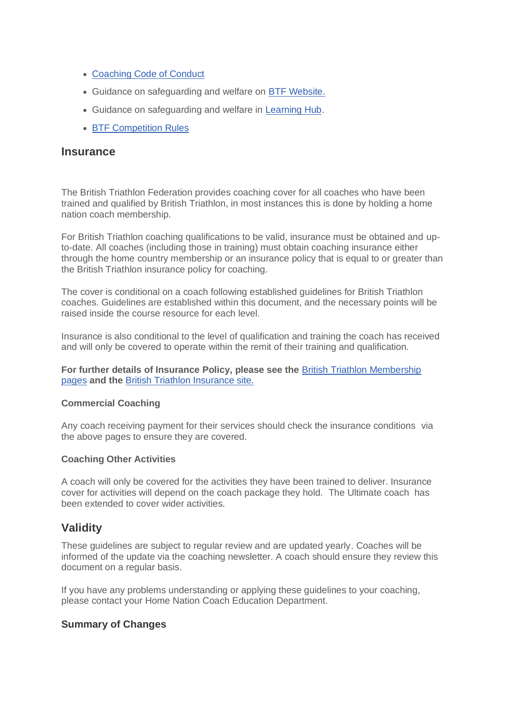- [Coaching Code of Conduct](https://learninghub.britishtriathlon.org/mod/data/view.php?d=169&rid=24410)
- Guidance on safeguarding and welfare on [BTF Website.](https://www.britishtriathlon.org/about-us/safeguarding)
- Guidance on safeguarding and welfare in [Learning Hub.](https://learninghub.britishtriathlon.org/mod/book/view.php?id=3890)
- [BTF Competition Rules](https://learninghub.britishtriathlon.org/mod/data/view.php?d=169&rid=24411)

#### **Insurance**

The British Triathlon Federation provides coaching cover for all coaches who have been trained and qualified by British Triathlon, in most instances this is done by holding a home nation coach membership.

For British Triathlon coaching qualifications to be valid, insurance must be obtained and upto-date. All coaches (including those in training) must obtain coaching insurance either through the home country membership or an insurance policy that is equal to or greater than the British Triathlon insurance policy for coaching.

The cover is conditional on a coach following established guidelines for British Triathlon coaches. Guidelines are established within this document, and the necessary points will be raised inside the course resource for each level.

Insurance is also conditional to the level of qualification and training the coach has received and will only be covered to operate within the remit of their training and qualification.

**For further details of Insurance Policy, please see the** [British Triathlon Membership](https://www.britishtriathlon.org/get-involved/membership/insurance-centre)  [pages](https://www.britishtriathlon.org/get-involved/membership/insurance-centre) **and the** [British Triathlon Insurance site.](https://www.britishtriathlon.org/insurance)

#### **Commercial Coaching**

Any coach receiving payment for their services should check the insurance conditions via the above pages to ensure they are covered.

#### **Coaching Other Activities**

A coach will only be covered for the activities they have been trained to deliver. Insurance cover for activities will depend on the coach package they hold. The Ultimate coach has been extended to cover wider activities.

### **Validity**

These guidelines are subject to regular review and are updated yearly. Coaches will be informed of the update via the coaching newsletter. A coach should ensure they review this document on a regular basis.

If you have any problems understanding or applying these guidelines to your coaching, please contact your Home Nation Coach Education Department.

#### **Summary of Changes**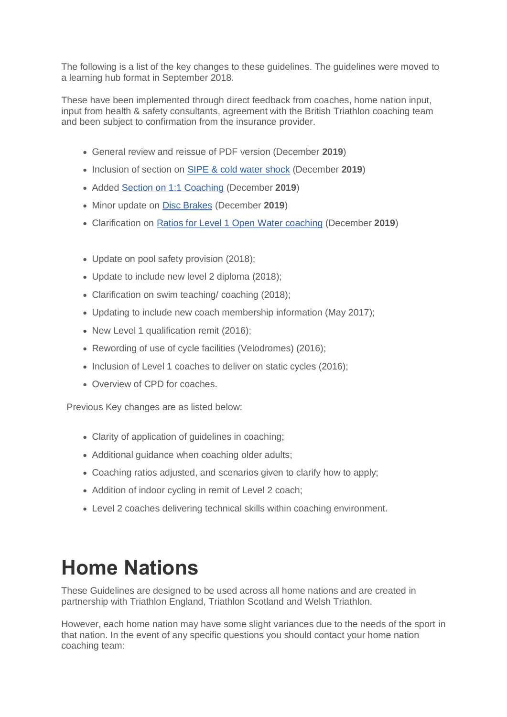The following is a list of the key changes to these guidelines. The guidelines were moved to a learning hub format in September 2018.

These have been implemented through direct feedback from coaches, home nation input, input from health & safety consultants, agreement with the British Triathlon coaching team and been subject to confirmation from the insurance provider.

- General review and reissue of PDF version (December **2019**)
- Inclusion of section on [SIPE & cold water shock](https://learninghub.britishtriathlon.org/mod/book/view.php?id=4019&chapterid=11371) (December **2019**)
- Added [Section on 1:1 Coaching](https://learninghub.britishtriathlon.org/mod/book/view.php?id=4019&chapterid=11370) (December **2019**)
- Minor update on [Disc Brakes](https://learninghub.britishtriathlon.org/mod/book/view.php?id=4019&chapterid=11330) (December **2019**)
- Clarification on [Ratios for Level 1 Open Water coaching](https://learninghub.britishtriathlon.org/mod/book/view.php?id=4019&chapterid=11308) (December **2019**)
- Update on pool safety provision (2018);
- Update to include new level 2 diploma (2018);
- Clarification on swim teaching/ coaching (2018);
- Updating to include new coach membership information (May 2017);
- New Level 1 qualification remit (2016);
- Rewording of use of cycle facilities (Velodromes) (2016);
- Inclusion of Level 1 coaches to deliver on static cycles (2016);
- Overview of CPD for coaches.

Previous Key changes are as listed below:

- Clarity of application of guidelines in coaching;
- Additional quidance when coaching older adults:
- Coaching ratios adjusted, and scenarios given to clarify how to apply;
- Addition of indoor cycling in remit of Level 2 coach:
- Level 2 coaches delivering technical skills within coaching environment.

# **Home Nations**

These Guidelines are designed to be used across all home nations and are created in partnership with Triathlon England, Triathlon Scotland and Welsh Triathlon.

However, each home nation may have some slight variances due to the needs of the sport in that nation. In the event of any specific questions you should contact your home nation coaching team: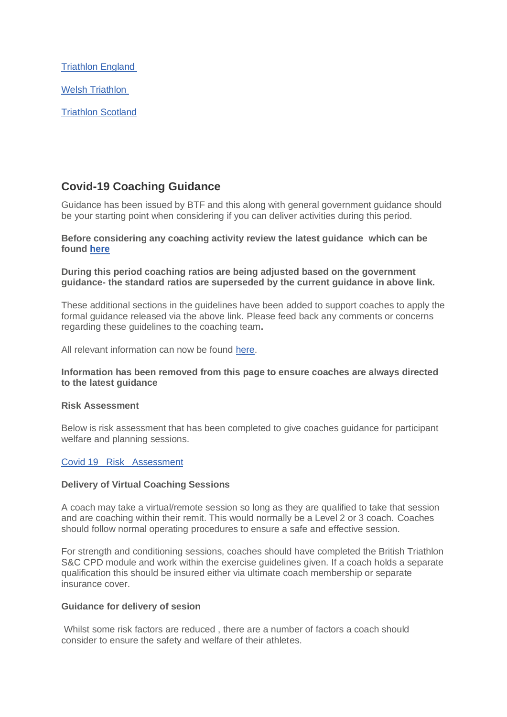[Triathlon England](https://www.britishtriathlon.org/coaching) [Welsh Triathlon](https://www.welshtriathlon.org/about-us/contact-us)

[Triathlon Scotland](https://www.triathlonscotland.org/about-us/contact-us/)

# **Covid-19 Coaching Guidance**

Guidance has been issued by BTF and this along with general government guidance should be your starting point when considering if you can deliver activities during this period.

#### **Before considering any coaching activity review the latest guidance which can be found [here](https://www.britishtriathlon.org/return-to-play)**

**During this period coaching ratios are being adjusted based on the government guidance- the standard ratios are superseded by the current guidance in above link.**

These additional sections in the guidelines have been added to support coaches to apply the formal guidance released via the above link. Please feed back any comments or concerns regarding these guidelines to the coaching team**.**

All relevant information can now be found [here.](https://www.britishtriathlon.org/return-to-play)

#### **Information has been removed from this page to ensure coaches are always directed to the latest guidance**

#### **Risk Assessment**

Below is risk assessment that has been completed to give coaches guidance for participant welfare and planning sessions.

#### [Covid 19\\_ Risk\\_ Assessment](https://learninghub.britishtriathlon.org/mod/data/view.php?d=169&rid=25174)

#### **Delivery of Virtual Coaching Sessions**

A coach may take a virtual/remote session so long as they are qualified to take that session and are coaching within their remit. This would normally be a Level 2 or 3 coach. Coaches should follow normal operating procedures to ensure a safe and effective session.

For strength and conditioning sessions, coaches should have completed the British Triathlon S&C CPD module and work within the exercise guidelines given. If a coach holds a separate qualification this should be insured either via ultimate coach membership or separate insurance cover.

#### **Guidance for delivery of sesion**

Whilst some risk factors are reduced , there are a number of factors a coach should consider to ensure the safety and welfare of their athletes.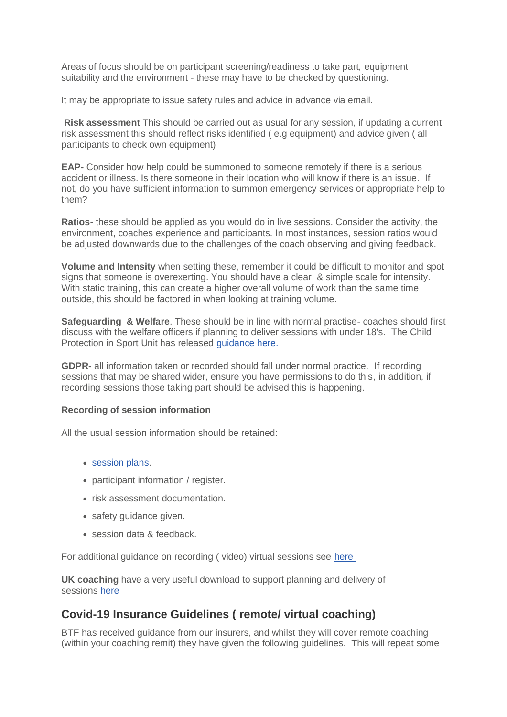Areas of focus should be on participant screening/readiness to take part, equipment suitability and the environment - these may have to be checked by questioning.

It may be appropriate to issue safety rules and advice in advance via email.

**Risk assessment** This should be carried out as usual for any session, if updating a current risk assessment this should reflect risks identified ( e.g equipment) and advice given ( all participants to check own equipment)

**EAP-** Consider how help could be summoned to someone remotely if there is a serious accident or illness. Is there someone in their location who will know if there is an issue. If not, do you have sufficient information to summon emergency services or appropriate help to them?

**Ratios**- these should be applied as you would do in live sessions. Consider the activity, the environment, coaches experience and participants. In most instances, session ratios would be adjusted downwards due to the challenges of the coach observing and giving feedback.

**Volume and Intensity** when setting these, remember it could be difficult to monitor and spot signs that someone is overexerting. You should have a clear & simple scale for intensity. With static training, this can create a higher overall volume of work than the same time outside, this should be factored in when looking at training volume.

**Safeguarding & Welfare**. These should be in line with normal practise- coaches should first discuss with the welfare officers if planning to deliver sessions with under 18's. The Child Protection in Sport Unit has released [guidance here.](https://thecpsu.org.uk/resource-library/best-practice/remote-teaching-and-coaching/)

**GDPR-** all information taken or recorded should fall under normal practice. If recording sessions that may be shared wider, ensure you have permissions to do this, in addition, if recording sessions those taking part should be advised this is happening.

#### **Recording of session information**

All the usual session information should be retained:

- [session plans.](https://learninghub.britishtriathlon.org/mod/data/view.php?id=4021)
- participant information / register.
- risk assessment documentation.
- safety guidance given.
- session data & feedback.

For additional guidance on recording ( video) virtual sessions see [here](https://learninghub.britishtriathlon.org/mod/book/view.php?id=4019&chapterid=11393)

**UK coaching** have a very useful download to support planning and delivery of sessions [here](https://www.ukcoaching.org/getattachment/Resources/Topics/Guides/Coaching-Behaviours/94248-Coaching-People-Online.pdf?lang=en-GB)

### **Covid-19 Insurance Guidelines ( remote/ virtual coaching)**

BTF has received guidance from our insurers, and whilst they will cover remote coaching (within your coaching remit) they have given the following guidelines. This will repeat some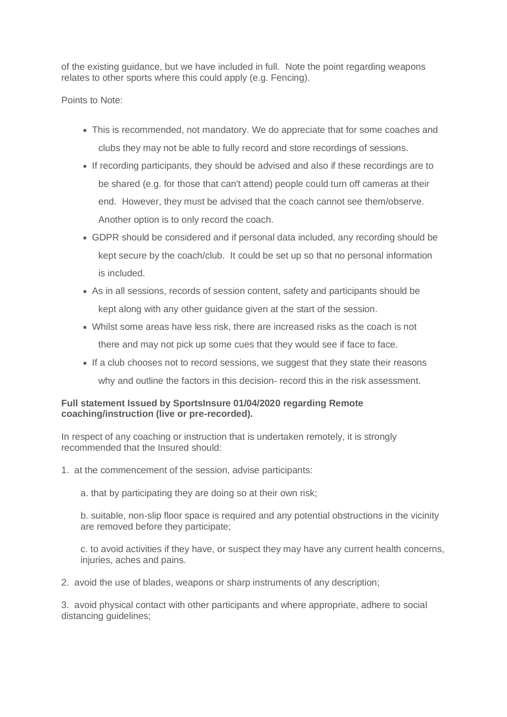of the existing guidance, but we have included in full. Note the point regarding weapons relates to other sports where this could apply (e.g. Fencing).

Points to Note:

- This is recommended, not mandatory. We do appreciate that for some coaches and clubs they may not be able to fully record and store recordings of sessions.
- If recording participants, they should be advised and also if these recordings are to be shared (e.g. for those that can't attend) people could turn off cameras at their end. However, they must be advised that the coach cannot see them/observe. Another option is to only record the coach.
- GDPR should be considered and if personal data included, any recording should be kept secure by the coach/club. It could be set up so that no personal information is included.
- As in all sessions, records of session content, safety and participants should be kept along with any other guidance given at the start of the session.
- Whilst some areas have less risk, there are increased risks as the coach is not there and may not pick up some cues that they would see if face to face.
- If a club chooses not to record sessions, we suggest that they state their reasons why and outline the factors in this decision- record this in the risk assessment.

#### **Full statement Issued by SportsInsure 01/04/2020 regarding Remote coaching/instruction (live or pre-recorded).**

In respect of any coaching or instruction that is undertaken remotely, it is strongly recommended that the Insured should:

- 1. at the commencement of the session, advise participants:
	- a. that by participating they are doing so at their own risk;

b. suitable, non-slip floor space is required and any potential obstructions in the vicinity are removed before they participate;

c. to avoid activities if they have, or suspect they may have any current health concerns, injuries, aches and pains.

2. avoid the use of blades, weapons or sharp instruments of any description;

3. avoid physical contact with other participants and where appropriate, adhere to social distancing guidelines;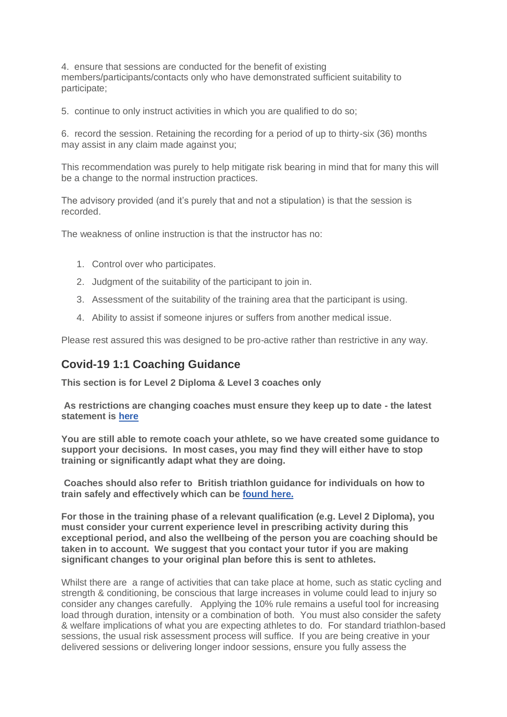4. ensure that sessions are conducted for the benefit of existing members/participants/contacts only who have demonstrated sufficient suitability to participate;

5. continue to only instruct activities in which you are qualified to do so;

6. record the session. Retaining the recording for a period of up to thirty-six (36) months may assist in any claim made against you;

This recommendation was purely to help mitigate risk bearing in mind that for many this will be a change to the normal instruction practices.

The advisory provided (and it's purely that and not a stipulation) is that the session is recorded.

The weakness of online instruction is that the instructor has no:

- 1. Control over who participates.
- 2. Judgment of the suitability of the participant to join in.
- 3. Assessment of the suitability of the training area that the participant is using.
- 4. Ability to assist if someone injures or suffers from another medical issue.

Please rest assured this was designed to be pro-active rather than restrictive in any way.

### **Covid-19 1:1 Coaching Guidance**

**This section is for Level 2 Diploma & Level 3 coaches only**

**As restrictions are changing coaches must ensure they keep up to date - the latest statement is [here](https://www.britishtriathlon.org/return-to-play)**

**You are still able to remote coach your athlete, so we have created some guidance to support your decisions. In most cases, you may find they will either have to stop training or significantly adapt what they are doing.**

**Coaches should also refer to British triathlon guidance for individuals on how to train safely and effectively which can be [found here.](https://www.britishtriathlon.org/return-to-play)**

**For those in the training phase of a relevant qualification (e.g. Level 2 Diploma), you must consider your current experience level in prescribing activity during this exceptional period, and also the wellbeing of the person you are coaching should be taken in to account. We suggest that you contact your tutor if you are making significant changes to your original plan before this is sent to athletes.**

Whilst there are a range of activities that can take place at home, such as static cycling and strength & conditioning, be conscious that large increases in volume could lead to injury so consider any changes carefully. Applying the 10% rule remains a useful tool for increasing load through duration, intensity or a combination of both. You must also consider the safety & welfare implications of what you are expecting athletes to do. For standard triathlon-based sessions, the usual risk assessment process will suffice. If you are being creative in your delivered sessions or delivering longer indoor sessions, ensure you fully assess the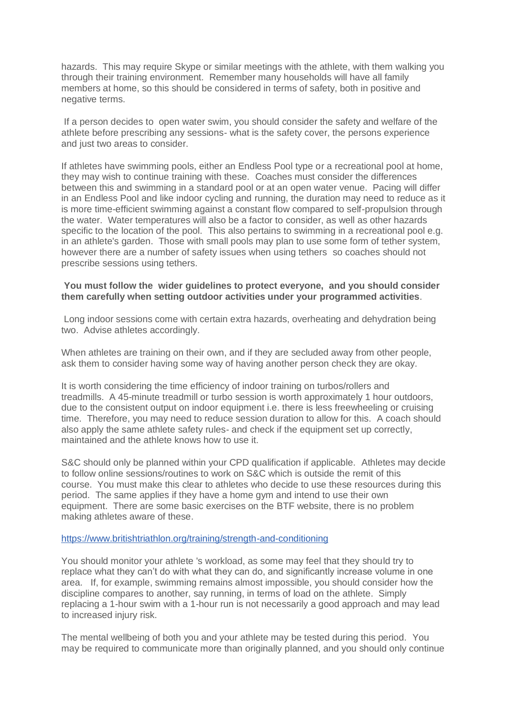hazards. This may require Skype or similar meetings with the athlete, with them walking you through their training environment. Remember many households will have all family members at home, so this should be considered in terms of safety, both in positive and negative terms.

If a person decides to open water swim, you should consider the safety and welfare of the athlete before prescribing any sessions- what is the safety cover, the persons experience and just two areas to consider.

If athletes have swimming pools, either an Endless Pool type or a recreational pool at home, they may wish to continue training with these. Coaches must consider the differences between this and swimming in a standard pool or at an open water venue. Pacing will differ in an Endless Pool and like indoor cycling and running, the duration may need to reduce as it is more time-efficient swimming against a constant flow compared to self-propulsion through the water. Water temperatures will also be a factor to consider, as well as other hazards specific to the location of the pool. This also pertains to swimming in a recreational pool e.g. in an athlete's garden. Those with small pools may plan to use some form of tether system, however there are a number of safety issues when using tethers so coaches should not prescribe sessions using tethers.

#### **You must follow the wider guidelines to protect everyone, and you should consider them carefully when setting outdoor activities under your programmed activities**.

Long indoor sessions come with certain extra hazards, overheating and dehydration being two. Advise athletes accordingly.

When athletes are training on their own, and if they are secluded away from other people, ask them to consider having some way of having another person check they are okay.

It is worth considering the time efficiency of indoor training on turbos/rollers and treadmills. A 45-minute treadmill or turbo session is worth approximately 1 hour outdoors, due to the consistent output on indoor equipment i.e. there is less freewheeling or cruising time. Therefore, you may need to reduce session duration to allow for this. A coach should also apply the same athlete safety rules- and check if the equipment set up correctly, maintained and the athlete knows how to use it.

S&C should only be planned within your CPD qualification if applicable. Athletes may decide to follow online sessions/routines to work on S&C which is outside the remit of this course. You must make this clear to athletes who decide to use these resources during this period. The same applies if they have a home gym and intend to use their own equipment. There are some basic exercises on the BTF website, there is no problem making athletes aware of these.

#### [https://www.britishtriathlon.org/training/strength-and-conditioning](https://eur01.safelinks.protection.outlook.com/?url=https%3A%2F%2Fwww.britishtriathlon.org%2Ftraining%2Fstrength-and-conditioning&data=02%7C01%7Cgilesobrien%40britishtriathlon.org%7C687e48eec5b04a3a3e5108d7d001ffa1%7C07fe2f50667547739a65ffe43ba4930e%7C0%7C0%7C637206579312714959&sdata=ss2RRhsUcaVqeS8Dd3P2j7Lzr9%2F4m%2B8zrDUEYK7afU8%3D&reserved=0)

You should monitor your athlete 's workload, as some may feel that they should try to replace what they can't do with what they can do, and significantly increase volume in one area. If, for example, swimming remains almost impossible, you should consider how the discipline compares to another, say running, in terms of load on the athlete. Simply replacing a 1-hour swim with a 1-hour run is not necessarily a good approach and may lead to increased injury risk.

The mental wellbeing of both you and your athlete may be tested during this period. You may be required to communicate more than originally planned, and you should only continue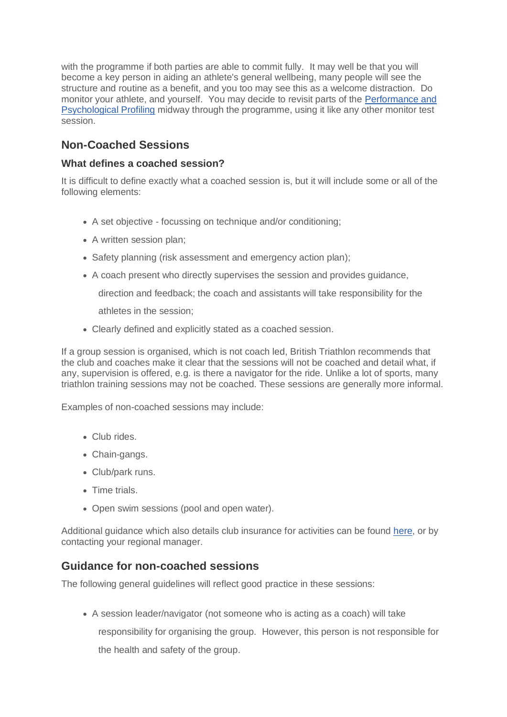with the programme if both parties are able to commit fully. It may well be that you will become a key person in aiding an athlete's general wellbeing, many people will see the structure and routine as a benefit, and you too may see this as a welcome distraction. Do monitor your athlete, and yourself. You may decide to revisit parts of the [Performance and](https://learninghub.britishtriathlon.org/mod/data/view.php?d=172&rid=24464)  [Psychological Profiling](https://learninghub.britishtriathlon.org/mod/data/view.php?d=172&rid=24464) midway through the programme, using it like any other monitor test session.

# **Non-Coached Sessions**

### **What defines a coached session?**

It is difficult to define exactly what a coached session is, but it will include some or all of the following elements:

- A set objective focussing on technique and/or conditioning;
- A written session plan;
- Safety planning (risk assessment and emergency action plan):
- A coach present who directly supervises the session and provides guidance,

direction and feedback; the coach and assistants will take responsibility for the

athletes in the session;

• Clearly defined and explicitly stated as a coached session.

If a group session is organised, which is not coach led, British Triathlon recommends that the club and coaches make it clear that the sessions will not be coached and detail what, if any, supervision is offered, e.g. is there a navigator for the ride. Unlike a lot of sports, many triathlon training sessions may not be coached. These sessions are generally more informal.

Examples of non-coached sessions may include:

- Club rides.
- Chain-gangs.
- Club/park runs.
- Time trials.
- Open swim sessions (pool and open water).

Additional guidance which also details club insurance for activities can be found [here,](https://www.britishtriathlon.org/clubs/club-resources) or by contacting your regional manager.

### **Guidance for non-coached sessions**

The following general guidelines will reflect good practice in these sessions:

• A session leader/navigator (not someone who is acting as a coach) will take responsibility for organising the group. However, this person is not responsible for the health and safety of the group.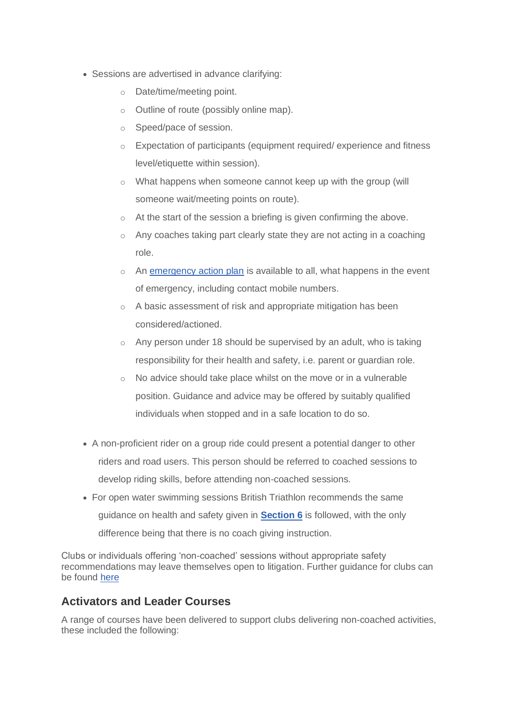- Sessions are advertised in advance clarifying:
	- o Date/time/meeting point.
	- o Outline of route (possibly online map).
	- o Speed/pace of session.
	- $\circ$  Expectation of participants (equipment required/ experience and fitness level/etiquette within session).
	- o What happens when someone cannot keep up with the group (will someone wait/meeting points on route).
	- o At the start of the session a briefing is given confirming the above.
	- o Any coaches taking part clearly state they are not acting in a coaching role.
	- o An [emergency action plan](https://learninghub.britishtriathlon.org/mod/data/view.php?d=169&rid=24393) is available to all, what happens in the event of emergency, including contact mobile numbers.
	- o A basic assessment of risk and appropriate mitigation has been considered/actioned.
	- o Any person under 18 should be supervised by an adult, who is taking responsibility for their health and safety, i.e. parent or guardian role.
	- o No advice should take place whilst on the move or in a vulnerable position. Guidance and advice may be offered by suitably qualified individuals when stopped and in a safe location to do so.
- A non-proficient rider on a group ride could present a potential danger to other riders and road users. This person should be referred to coached sessions to develop riding skills, before attending non-coached sessions.
- For open water swimming sessions British Triathlon recommends the same guidance on health and safety given in **[Section 6](https://learninghub.britishtriathlon.org/mod/book/view.php?id=4019&chapterid=11325)** is followed, with the only difference being that there is no coach giving instruction.

Clubs or individuals offering 'non-coached' sessions without appropriate safety recommendations may leave themselves open to litigation. Further guidance for clubs can be found [here](https://www.britishtriathlon.org/clubs)

### **Activators and Leader Courses**

A range of courses have been delivered to support clubs delivering non-coached activities, these included the following: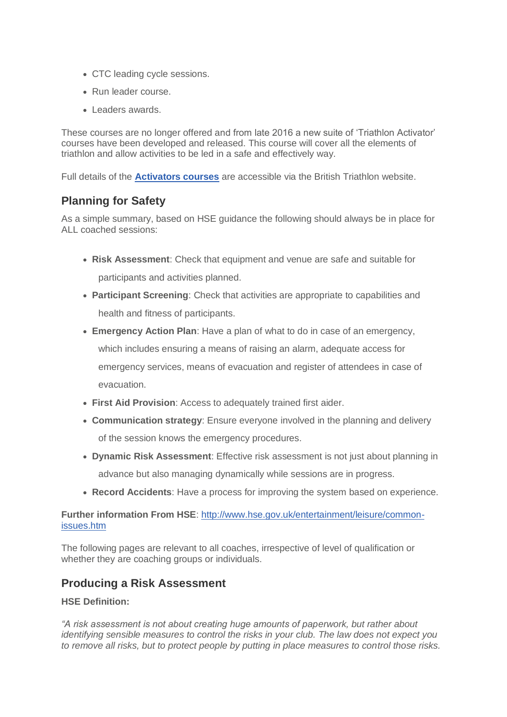- CTC leading cycle sessions.
- Run leader course.
- Leaders awards.

These courses are no longer offered and from late 2016 a new suite of 'Triathlon Activator' courses have been developed and released. This course will cover all the elements of triathlon and allow activities to be led in a safe and effectively way.

Full details of the **[Activators courses](https://www.britishtriathlon.org/activators)** are accessible via the British Triathlon website.

### **Planning for Safety**

As a simple summary, based on HSE guidance the following should always be in place for ALL coached sessions:

- **Risk Assessment**: Check that equipment and venue are safe and suitable for participants and activities planned.
- **Participant Screening**: Check that activities are appropriate to capabilities and health and fitness of participants.
- **Emergency Action Plan**: Have a plan of what to do in case of an emergency, which includes ensuring a means of raising an alarm, adequate access for emergency services, means of evacuation and register of attendees in case of evacuation.
- **First Aid Provision**: Access to adequately trained first aider.
- **Communication strategy**: Ensure everyone involved in the planning and delivery of the session knows the emergency procedures.
- **Dynamic Risk Assessment**: Effective risk assessment is not just about planning in advance but also managing dynamically while sessions are in progress.
- **Record Accidents**: Have a process for improving the system based on experience.

#### **Further information From HSE**: [http://www.hse.gov.uk/entertainment/leisure/common](http://www.hse.gov.uk/entertainment/leisure/common-issues.htm)[issues.htm](http://www.hse.gov.uk/entertainment/leisure/common-issues.htm)

The following pages are relevant to all coaches, irrespective of level of qualification or whether they are coaching groups or individuals.

### **Producing a Risk Assessment**

#### **HSE Definition:**

*"A risk assessment is not about creating huge amounts of paperwork, but rather about identifying sensible measures to control the risks in your club. The law does not expect you to remove all risks, but to protect people by putting in place measures to control those risks.*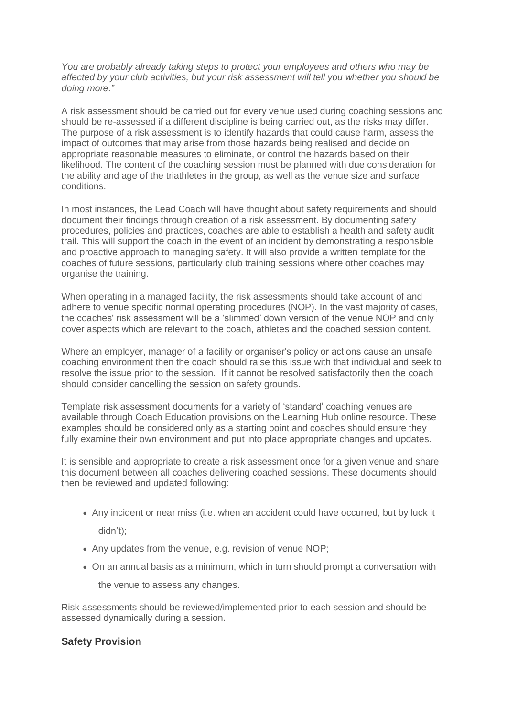*You are probably already taking steps to protect your employees and others who may be affected by your club activities, but your risk assessment will tell you whether you should be doing more."*

A risk assessment should be carried out for every venue used during coaching sessions and should be re-assessed if a different discipline is being carried out, as the risks may differ. The purpose of a risk assessment is to identify hazards that could cause harm, assess the impact of outcomes that may arise from those hazards being realised and decide on appropriate reasonable measures to eliminate, or control the hazards based on their likelihood. The content of the coaching session must be planned with due consideration for the ability and age of the triathletes in the group, as well as the venue size and surface conditions.

In most instances, the Lead Coach will have thought about safety requirements and should document their findings through creation of a risk assessment. By documenting safety procedures, policies and practices, coaches are able to establish a health and safety audit trail. This will support the coach in the event of an incident by demonstrating a responsible and proactive approach to managing safety. It will also provide a written template for the coaches of future sessions, particularly club training sessions where other coaches may organise the training.

When operating in a managed facility, the risk assessments should take account of and adhere to venue specific normal operating procedures (NOP). In the vast majority of cases, the coaches' risk assessment will be a 'slimmed' down version of the venue NOP and only cover aspects which are relevant to the coach, athletes and the coached session content.

Where an employer, manager of a facility or organiser's policy or actions cause an unsafe coaching environment then the coach should raise this issue with that individual and seek to resolve the issue prior to the session. If it cannot be resolved satisfactorily then the coach should consider cancelling the session on safety grounds.

Template risk assessment documents for a variety of 'standard' coaching venues are available through Coach Education provisions on the Learning Hub online resource. These examples should be considered only as a starting point and coaches should ensure they fully examine their own environment and put into place appropriate changes and updates.

It is sensible and appropriate to create a risk assessment once for a given venue and share this document between all coaches delivering coached sessions. These documents should then be reviewed and updated following:

- Any incident or near miss (i.e. when an accident could have occurred, but by luck it didn't);
- Any updates from the venue, e.g. revision of venue NOP;
- On an annual basis as a minimum, which in turn should prompt a conversation with the venue to assess any changes.

Risk assessments should be reviewed/implemented prior to each session and should be assessed dynamically during a session.

#### **Safety Provision**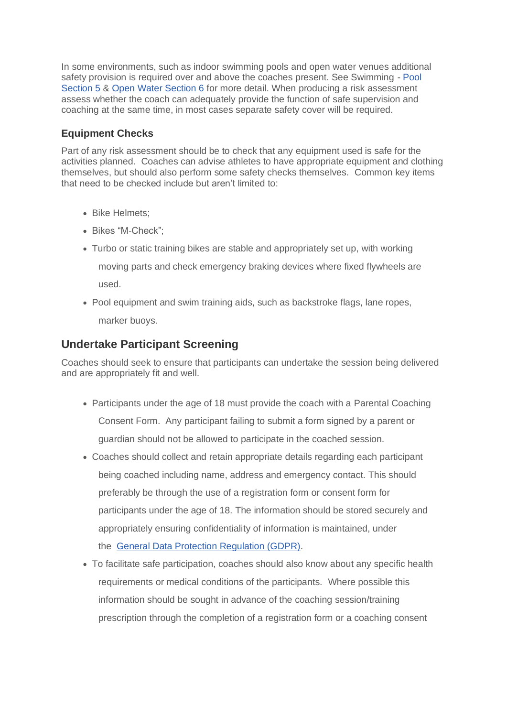In some environments, such as indoor swimming pools and open water venues additional safety provision is required over and above the coaches present. See Swimming - [Pool](https://learninghub.britishtriathlon.org/mod/book/view.php?id=4019&chapterid=11312)  [Section 5](https://learninghub.britishtriathlon.org/mod/book/view.php?id=4019&chapterid=11312) & [Open Water Section 6](https://learninghub.britishtriathlon.org/mod/book/view.php?id=4019&chapterid=11317) for more detail. When producing a risk assessment assess whether the coach can adequately provide the function of safe supervision and coaching at the same time, in most cases separate safety cover will be required.

### **Equipment Checks**

Part of any risk assessment should be to check that any equipment used is safe for the activities planned. Coaches can advise athletes to have appropriate equipment and clothing themselves, but should also perform some safety checks themselves. Common key items that need to be checked include but aren't limited to:

- Bike Helmets;
- Bikes "M-Check";
- Turbo or static training bikes are stable and appropriately set up, with working moving parts and check emergency braking devices where fixed flywheels are used.
- Pool equipment and swim training aids, such as backstroke flags, lane ropes, marker buoys.

### **Undertake Participant Screening**

Coaches should seek to ensure that participants can undertake the session being delivered and are appropriately fit and well.

- Participants under the age of 18 must provide the coach with a Parental Coaching Consent Form. Any participant failing to submit a form signed by a parent or guardian should not be allowed to participate in the coached session.
- Coaches should collect and retain appropriate details regarding each participant being coached including name, address and emergency contact. This should preferably be through the use of a registration form or consent form for participants under the age of 18. The information should be stored securely and appropriately ensuring confidentiality of information is maintained, under the [General Data Protection Regulation \(GDPR\).](https://www.coacha.co.uk/More/Blog/Blog-main/ArticleID/6/What-is-GDPR-and-how-should-you-be-preparing-for-it)
- To facilitate safe participation, coaches should also know about any specific health requirements or medical conditions of the participants. Where possible this information should be sought in advance of the coaching session/training prescription through the completion of a registration form or a coaching consent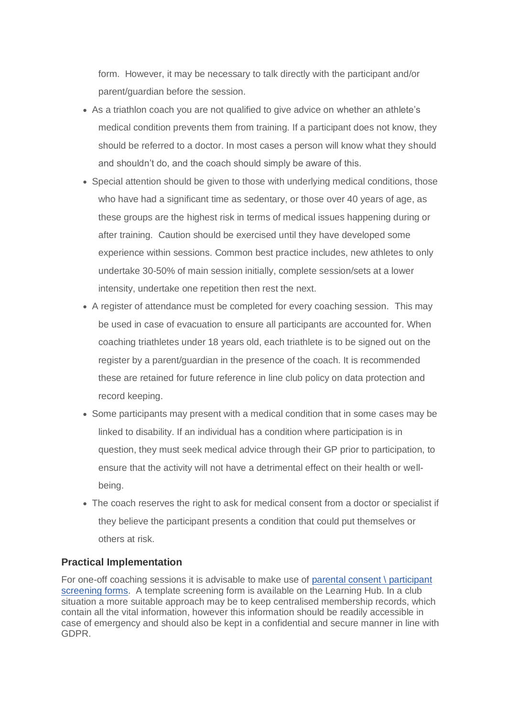form. However, it may be necessary to talk directly with the participant and/or parent/guardian before the session.

- As a triathlon coach you are not qualified to give advice on whether an athlete's medical condition prevents them from training. If a participant does not know, they should be referred to a doctor. In most cases a person will know what they should and shouldn't do, and the coach should simply be aware of this.
- Special attention should be given to those with underlying medical conditions, those who have had a significant time as sedentary, or those over 40 years of age, as these groups are the highest risk in terms of medical issues happening during or after training. Caution should be exercised until they have developed some experience within sessions. Common best practice includes, new athletes to only undertake 30-50% of main session initially, complete session/sets at a lower intensity, undertake one repetition then rest the next.
- A register of attendance must be completed for every coaching session. This may be used in case of evacuation to ensure all participants are accounted for. When coaching triathletes under 18 years old, each triathlete is to be signed out on the register by a parent/guardian in the presence of the coach. It is recommended these are retained for future reference in line club policy on data protection and record keeping.
- Some participants may present with a medical condition that in some cases may be linked to disability. If an individual has a condition where participation is in question, they must seek medical advice through their GP prior to participation, to ensure that the activity will not have a detrimental effect on their health or wellbeing.
- The coach reserves the right to ask for medical consent from a doctor or specialist if they believe the participant presents a condition that could put themselves or others at risk.

#### **Practical Implementation**

For one-off coaching sessions it is advisable to make use of [parental consent \](https://learninghub.britishtriathlon.org/mod/data/view.php?d=169&rid=24428&filter=1) participant [screening forms.](https://learninghub.britishtriathlon.org/mod/data/view.php?d=169&rid=24428&filter=1) A template screening form is available on the Learning Hub. In a club situation a more suitable approach may be to keep centralised membership records, which contain all the vital information, however this information should be readily accessible in case of emergency and should also be kept in a confidential and secure manner in line with GDPR.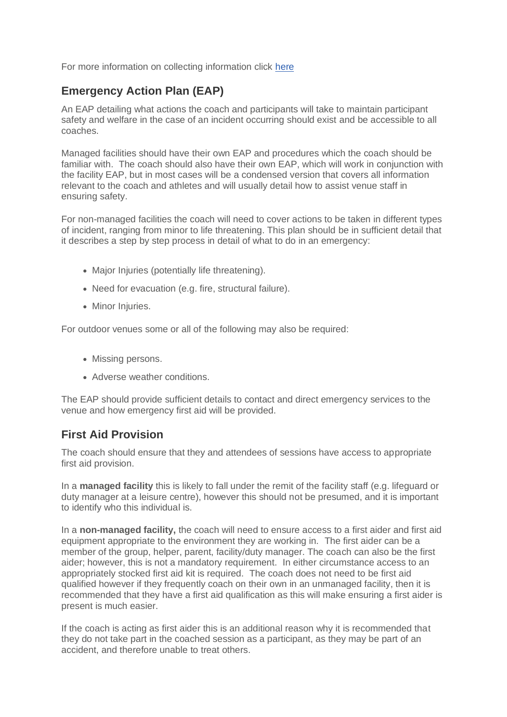For more information on collecting information click [here](https://learninghub.britishtriathlon.org/mod/book/view.php?id=3881&chapterid=10604)

# **Emergency Action Plan (EAP)**

An EAP detailing what actions the coach and participants will take to maintain participant safety and welfare in the case of an incident occurring should exist and be accessible to all coaches.

Managed facilities should have their own EAP and procedures which the coach should be familiar with. The coach should also have their own EAP, which will work in conjunction with the facility EAP, but in most cases will be a condensed version that covers all information relevant to the coach and athletes and will usually detail how to assist venue staff in ensuring safety.

For non-managed facilities the coach will need to cover actions to be taken in different types of incident, ranging from minor to life threatening. This plan should be in sufficient detail that it describes a step by step process in detail of what to do in an emergency:

- Major Injuries (potentially life threatening).
- Need for evacuation (e.g. fire, structural failure).
- Minor Injuries.

For outdoor venues some or all of the following may also be required:

- Missing persons.
- Adverse weather conditions.

The EAP should provide sufficient details to contact and direct emergency services to the venue and how emergency first aid will be provided.

### **First Aid Provision**

The coach should ensure that they and attendees of sessions have access to appropriate first aid provision.

In a **managed facility** this is likely to fall under the remit of the facility staff (e.g. lifeguard or duty manager at a leisure centre), however this should not be presumed, and it is important to identify who this individual is.

In a **non-managed facility,** the coach will need to ensure access to a first aider and first aid equipment appropriate to the environment they are working in. The first aider can be a member of the group, helper, parent, facility/duty manager. The coach can also be the first aider; however, this is not a mandatory requirement. In either circumstance access to an appropriately stocked first aid kit is required. The coach does not need to be first aid qualified however if they frequently coach on their own in an unmanaged facility, then it is recommended that they have a first aid qualification as this will make ensuring a first aider is present is much easier.

If the coach is acting as first aider this is an additional reason why it is recommended that they do not take part in the coached session as a participant, as they may be part of an accident, and therefore unable to treat others.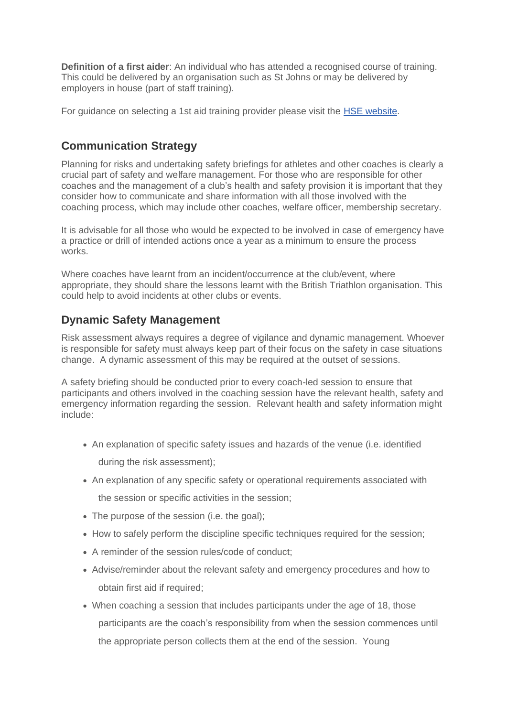**Definition of a first aider**: An individual who has attended a recognised course of training. This could be delivered by an organisation such as St Johns or may be delivered by employers in house (part of staff training).

For guidance on selecting a 1st aid training provider please visit the [HSE website.](http://www.hse.gov.uk/firstaid/first-aid-training.htm)

### **Communication Strategy**

Planning for risks and undertaking safety briefings for athletes and other coaches is clearly a crucial part of safety and welfare management. For those who are responsible for other coaches and the management of a club's health and safety provision it is important that they consider how to communicate and share information with all those involved with the coaching process, which may include other coaches, welfare officer, membership secretary.

It is advisable for all those who would be expected to be involved in case of emergency have a practice or drill of intended actions once a year as a minimum to ensure the process works.

Where coaches have learnt from an incident/occurrence at the club/event, where appropriate, they should share the lessons learnt with the British Triathlon organisation. This could help to avoid incidents at other clubs or events.

### **Dynamic Safety Management**

Risk assessment always requires a degree of vigilance and dynamic management. Whoever is responsible for safety must always keep part of their focus on the safety in case situations change. A dynamic assessment of this may be required at the outset of sessions.

A safety briefing should be conducted prior to every coach-led session to ensure that participants and others involved in the coaching session have the relevant health, safety and emergency information regarding the session. Relevant health and safety information might include:

• An explanation of specific safety issues and hazards of the venue (i.e. identified

during the risk assessment);

- An explanation of any specific safety or operational requirements associated with the session or specific activities in the session;
- The purpose of the session (i.e. the goal):
- How to safely perform the discipline specific techniques required for the session;
- A reminder of the session rules/code of conduct;
- Advise/reminder about the relevant safety and emergency procedures and how to obtain first aid if required;
- When coaching a session that includes participants under the age of 18, those participants are the coach's responsibility from when the session commences until the appropriate person collects them at the end of the session. Young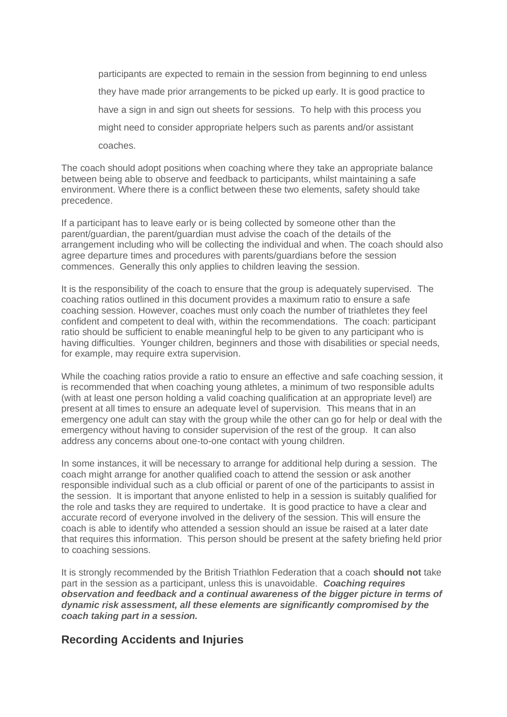participants are expected to remain in the session from beginning to end unless they have made prior arrangements to be picked up early. It is good practice to have a sign in and sign out sheets for sessions. To help with this process you might need to consider appropriate helpers such as parents and/or assistant coaches.

The coach should adopt positions when coaching where they take an appropriate balance between being able to observe and feedback to participants, whilst maintaining a safe environment. Where there is a conflict between these two elements, safety should take precedence.

If a participant has to leave early or is being collected by someone other than the parent/guardian, the parent/guardian must advise the coach of the details of the arrangement including who will be collecting the individual and when. The coach should also agree departure times and procedures with parents/guardians before the session commences. Generally this only applies to children leaving the session.

It is the responsibility of the coach to ensure that the group is adequately supervised. The coaching ratios outlined in this document provides a maximum ratio to ensure a safe coaching session. However, coaches must only coach the number of triathletes they feel confident and competent to deal with, within the recommendations. The coach: participant ratio should be sufficient to enable meaningful help to be given to any participant who is having difficulties. Younger children, beginners and those with disabilities or special needs, for example, may require extra supervision.

While the coaching ratios provide a ratio to ensure an effective and safe coaching session, it is recommended that when coaching young athletes, a minimum of two responsible adults (with at least one person holding a valid coaching qualification at an appropriate level) are present at all times to ensure an adequate level of supervision. This means that in an emergency one adult can stay with the group while the other can go for help or deal with the emergency without having to consider supervision of the rest of the group. It can also address any concerns about one-to-one contact with young children.

In some instances, it will be necessary to arrange for additional help during a session. The coach might arrange for another qualified coach to attend the session or ask another responsible individual such as a club official or parent of one of the participants to assist in the session. It is important that anyone enlisted to help in a session is suitably qualified for the role and tasks they are required to undertake. It is good practice to have a clear and accurate record of everyone involved in the delivery of the session. This will ensure the coach is able to identify who attended a session should an issue be raised at a later date that requires this information. This person should be present at the safety briefing held prior to coaching sessions.

It is strongly recommended by the British Triathlon Federation that a coach **should not** take part in the session as a participant, unless this is unavoidable. *Coaching requires observation and feedback and a continual awareness of the bigger picture in terms of dynamic risk assessment, all these elements are significantly compromised by the coach taking part in a session.*

### **Recording Accidents and Injuries**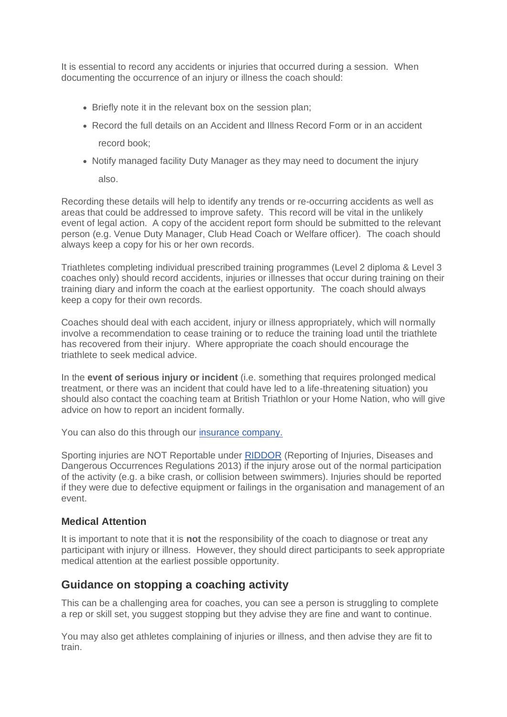It is essential to record any accidents or injuries that occurred during a session. When documenting the occurrence of an injury or illness the coach should:

- Briefly note it in the relevant box on the session plan;
- Record the full details on an Accident and Illness Record Form or in an accident record book;
- Notify managed facility Duty Manager as they may need to document the injury

also.

Recording these details will help to identify any trends or re-occurring accidents as well as areas that could be addressed to improve safety. This record will be vital in the unlikely event of legal action. A copy of the accident report form should be submitted to the relevant person (e.g. Venue Duty Manager, Club Head Coach or Welfare officer). The coach should always keep a copy for his or her own records.

Triathletes completing individual prescribed training programmes (Level 2 diploma & Level 3 coaches only) should record accidents, injuries or illnesses that occur during training on their training diary and inform the coach at the earliest opportunity. The coach should always keep a copy for their own records.

Coaches should deal with each accident, injury or illness appropriately, which will normally involve a recommendation to cease training or to reduce the training load until the triathlete has recovered from their injury. Where appropriate the coach should encourage the triathlete to seek medical advice.

In the **event of serious injury or incident** (i.e. something that requires prolonged medical treatment, or there was an incident that could have led to a life-threatening situation) you should also contact the coaching team at British Triathlon or your Home Nation, who will give advice on how to report an incident formally.

You can also do this through our [insurance company.](https://www.britishtriathlon.org/get-involved/membership/insurance-centre)

Sporting injuries are NOT Reportable under [RIDDOR](http://www.hse.gov.uk/riddor/) (Reporting of Injuries, Diseases and Dangerous Occurrences Regulations 2013) if the injury arose out of the normal participation of the activity (e.g. a bike crash, or collision between swimmers). Injuries should be reported if they were due to defective equipment or failings in the organisation and management of an event.

#### **Medical Attention**

It is important to note that it is **not** the responsibility of the coach to diagnose or treat any participant with injury or illness. However, they should direct participants to seek appropriate medical attention at the earliest possible opportunity.

### **Guidance on stopping a coaching activity**

This can be a challenging area for coaches, you can see a person is struggling to complete a rep or skill set, you suggest stopping but they advise they are fine and want to continue.

You may also get athletes complaining of injuries or illness, and then advise they are fit to train.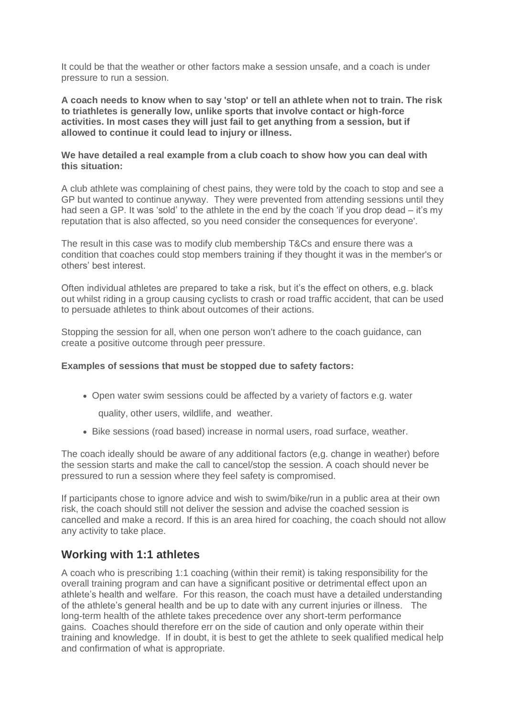It could be that the weather or other factors make a session unsafe, and a coach is under pressure to run a session.

**A coach needs to know when to say 'stop' or tell an athlete when not to train. The risk to triathletes is generally low, unlike sports that involve contact or high-force activities. In most cases they will just fail to get anything from a session, but if allowed to continue it could lead to injury or illness.**

#### **We have detailed a real example from a club coach to show how you can deal with this situation:**

A club athlete was complaining of chest pains, they were told by the coach to stop and see a GP but wanted to continue anyway. They were prevented from attending sessions until they had seen a GP. It was 'sold' to the athlete in the end by the coach 'if you drop dead – it's my reputation that is also affected, so you need consider the consequences for everyone'.

The result in this case was to modify club membership T&Cs and ensure there was a condition that coaches could stop members training if they thought it was in the member's or others' best interest.

Often individual athletes are prepared to take a risk, but it's the effect on others, e.g. black out whilst riding in a group causing cyclists to crash or road traffic accident, that can be used to persuade athletes to think about outcomes of their actions.

Stopping the session for all, when one person won't adhere to the coach guidance, can create a positive outcome through peer pressure.

#### **Examples of sessions that must be stopped due to safety factors:**

• Open water swim sessions could be affected by a variety of factors e.g. water

quality, other users, wildlife, and weather.

• Bike sessions (road based) increase in normal users, road surface, weather.

The coach ideally should be aware of any additional factors (e,g. change in weather) before the session starts and make the call to cancel/stop the session. A coach should never be pressured to run a session where they feel safety is compromised.

If participants chose to ignore advice and wish to swim/bike/run in a public area at their own risk, the coach should still not deliver the session and advise the coached session is cancelled and make a record. If this is an area hired for coaching, the coach should not allow any activity to take place.

### **Working with 1:1 athletes**

A coach who is prescribing 1:1 coaching (within their remit) is taking responsibility for the overall training program and can have a significant positive or detrimental effect upon an athlete's health and welfare. For this reason, the coach must have a detailed understanding of the athlete's general health and be up to date with any current injuries or illness. The long-term health of the athlete takes precedence over any short-term performance gains. Coaches should therefore err on the side of caution and only operate within their training and knowledge. If in doubt, it is best to get the athlete to seek qualified medical help and confirmation of what is appropriate.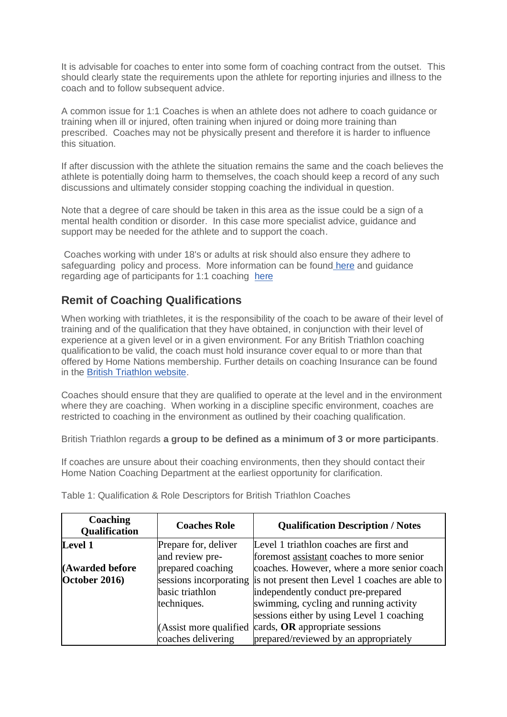It is advisable for coaches to enter into some form of coaching contract from the outset. This should clearly state the requirements upon the athlete for reporting injuries and illness to the coach and to follow subsequent advice.

A common issue for 1:1 Coaches is when an athlete does not adhere to coach guidance or training when ill or injured, often training when injured or doing more training than prescribed. Coaches may not be physically present and therefore it is harder to influence this situation.

If after discussion with the athlete the situation remains the same and the coach believes the athlete is potentially doing harm to themselves, the coach should keep a record of any such discussions and ultimately consider stopping coaching the individual in question.

Note that a degree of care should be taken in this area as the issue could be a sign of a mental health condition or disorder. In this case more specialist advice, guidance and support may be needed for the athlete and to support the coach.

Coaches working with under 18's or adults at risk should also ensure they adhere to safeguarding policy and process. More information can be found [here](https://learninghub.britishtriathlon.org/mod/book/view.php?id=4019&chapterid=11309) and guidance regarding age of participants for 1:1 coaching [here](https://learninghub.britishtriathlon.org/mod/book/view.php?id=4019&chapterid=11345)

### **Remit of Coaching Qualifications**

When working with triathletes, it is the responsibility of the coach to be aware of their level of training and of the qualification that they have obtained, in conjunction with their level of experience at a given level or in a given environment. For any British Triathlon coaching qualification to be valid, the coach must hold insurance cover equal to or more than that offered by Home Nations membership. Further details on coaching Insurance can be found in the [British Triathlon website.](https://www.britishtriathlon.org/get-involved/membership/insurance-centre)

Coaches should ensure that they are qualified to operate at the level and in the environment where they are coaching. When working in a discipline specific environment, coaches are restricted to coaching in the environment as outlined by their coaching qualification.

British Triathlon regards **a group to be defined as a minimum of 3 or more participants**.

If coaches are unsure about their coaching environments, then they should contact their Home Nation Coaching Department at the earliest opportunity for clarification.

| Coaching<br>Qualification | <b>Coaches Role</b>                                              | <b>Qualification Description / Notes</b>                               |  |  |
|---------------------------|------------------------------------------------------------------|------------------------------------------------------------------------|--|--|
| Level 1                   | Prepare for, deliver                                             | Level 1 triathlon coaches are first and                                |  |  |
|                           | and review pre-                                                  | foremost assistant coaches to more senior                              |  |  |
| (Awarded before           | prepared coaching<br>coaches. However, where a more senior coach |                                                                        |  |  |
| October 2016)             |                                                                  | sessions incorporating is not present then Level 1 coaches are able to |  |  |
|                           | basic triathlon                                                  | independently conduct pre-prepared                                     |  |  |
|                           | techniques.                                                      | swimming, cycling and running activity                                 |  |  |
|                           |                                                                  | sessions either by using Level 1 coaching                              |  |  |
|                           | (Assist more qualified)                                          | cards, OR appropriate sessions                                         |  |  |
|                           | coaches delivering                                               | prepared/reviewed by an appropriately                                  |  |  |

Table 1: Qualification & Role Descriptors for British Triathlon Coaches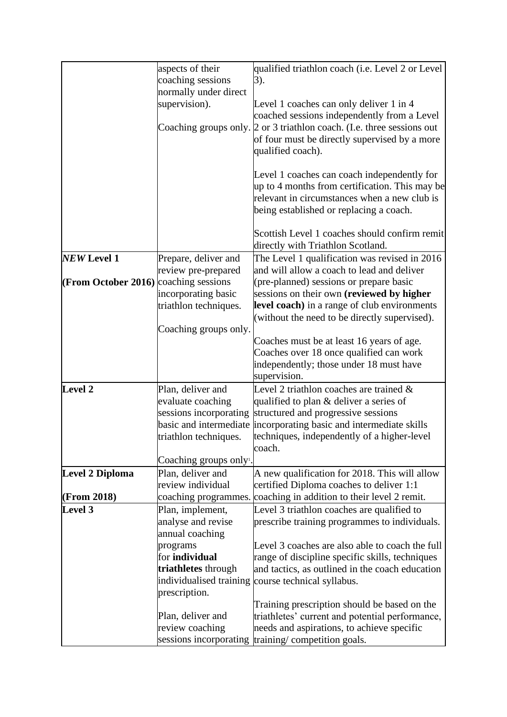|                     | aspects of their                    | qualified triathlon coach (i.e. Level 2 or Level                       |
|---------------------|-------------------------------------|------------------------------------------------------------------------|
|                     | coaching sessions                   | 3).                                                                    |
|                     | normally under direct               |                                                                        |
|                     | supervision).                       | Level 1 coaches can only deliver 1 in 4                                |
|                     |                                     | coached sessions independently from a Level                            |
|                     |                                     | Coaching groups only. 2 or 3 triathlon coach. (I.e. three sessions out |
|                     |                                     | of four must be directly supervised by a more                          |
|                     |                                     | qualified coach).                                                      |
|                     |                                     |                                                                        |
|                     |                                     | Level 1 coaches can coach independently for                            |
|                     |                                     | up to 4 months from certification. This may be                         |
|                     |                                     | relevant in circumstances when a new club is                           |
|                     |                                     | being established or replacing a coach.                                |
|                     |                                     |                                                                        |
|                     |                                     | Scottish Level 1 coaches should confirm remit                          |
|                     |                                     | directly with Triathlon Scotland.                                      |
| <b>NEW Level 1</b>  | Prepare, deliver and                | The Level 1 qualification was revised in 2016                          |
|                     | review pre-prepared                 | and will allow a coach to lead and deliver                             |
| (From October 2016) | coaching sessions                   | (pre-planned) sessions or prepare basic                                |
|                     | incorporating basic                 | sessions on their own (reviewed by higher                              |
|                     | triathlon techniques.               | level coach) in a range of club environments                           |
|                     |                                     | (without the need to be directly supervised).                          |
|                     | Coaching groups only.               |                                                                        |
|                     |                                     | Coaches must be at least 16 years of age.                              |
|                     |                                     | Coaches over 18 once qualified can work                                |
|                     |                                     | independently; those under 18 must have                                |
|                     |                                     | supervision.                                                           |
| Level 2             | Plan, deliver and                   | Level 2 triathlon coaches are trained $\&$                             |
|                     | evaluate coaching                   | qualified to plan & deliver a series of                                |
|                     | sessions incorporating              | structured and progressive sessions                                    |
|                     | basic and intermediate              | incorporating basic and intermediate skills                            |
|                     | triathlon techniques.               | techniques, independently of a higher-level                            |
|                     |                                     | coach.                                                                 |
|                     | Coaching groups only <sup>1</sup> . |                                                                        |
| Level 2 Diploma     | Plan, deliver and                   | A new qualification for 2018. This will allow                          |
|                     | review individual                   | certified Diploma coaches to deliver 1:1                               |
| (From 2018)         |                                     | coaching programmes. coaching in addition to their level 2 remit.      |
| Level 3             | Plan, implement,                    | Level 3 triathlon coaches are qualified to                             |
|                     | analyse and revise                  | prescribe training programmes to individuals.                          |
|                     | annual coaching                     |                                                                        |
|                     | programs                            | Level 3 coaches are also able to coach the full                        |
|                     | for <b>individual</b>               | range of discipline specific skills, techniques                        |
|                     | triathletes through                 | and tactics, as outlined in the coach education                        |
|                     |                                     | individualised training course technical syllabus.                     |
|                     | prescription.                       |                                                                        |
|                     |                                     | Training prescription should be based on the                           |
|                     | Plan, deliver and                   | triathletes' current and potential performance,                        |
|                     | review coaching                     | needs and aspirations, to achieve specific                             |
|                     |                                     | sessions incorporating training/competition goals.                     |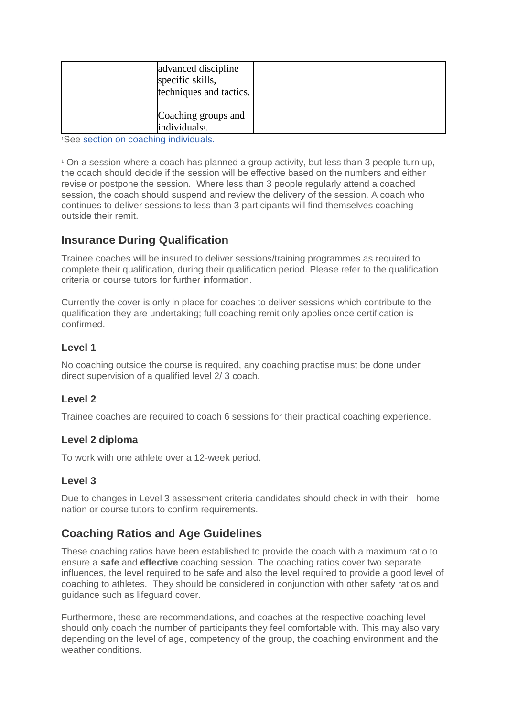| advanced discipline<br>specific skills,<br>techniques and tactics. |  |
|--------------------------------------------------------------------|--|
| Coaching groups and<br>individuals <sup>1</sup> .                  |  |

<sup>1</sup>See [section on coaching individuals.](https://learninghub.britishtriathlon.org/mod/book/view.php?id=4019&chapterid=11343)

<sup>1</sup> On a session where a coach has planned a group activity, but less than 3 people turn up, the coach should decide if the session will be effective based on the numbers and either revise or postpone the session. Where less than 3 people regularly attend a coached session, the coach should suspend and review the delivery of the session. A coach who continues to deliver sessions to less than 3 participants will find themselves coaching outside their remit.

### **Insurance During Qualification**

Trainee coaches will be insured to deliver sessions/training programmes as required to complete their qualification, during their qualification period. Please refer to the qualification criteria or course tutors for further information.

Currently the cover is only in place for coaches to deliver sessions which contribute to the qualification they are undertaking; full coaching remit only applies once certification is confirmed.

### **Level 1**

No coaching outside the course is required, any coaching practise must be done under direct supervision of a qualified level 2/ 3 coach.

### **Level 2**

Trainee coaches are required to coach 6 sessions for their practical coaching experience.

#### **Level 2 diploma**

To work with one athlete over a 12-week period.

#### **Level 3**

Due to changes in Level 3 assessment criteria candidates should check in with their home nation or course tutors to confirm requirements.

### **Coaching Ratios and Age Guidelines**

These coaching ratios have been established to provide the coach with a maximum ratio to ensure a **safe** and **effective** coaching session. The coaching ratios cover two separate influences, the level required to be safe and also the level required to provide a good level of coaching to athletes. They should be considered in conjunction with other safety ratios and guidance such as lifeguard cover.

Furthermore, these are recommendations, and coaches at the respective coaching level should only coach the number of participants they feel comfortable with. This may also vary depending on the level of age, competency of the group, the coaching environment and the weather conditions.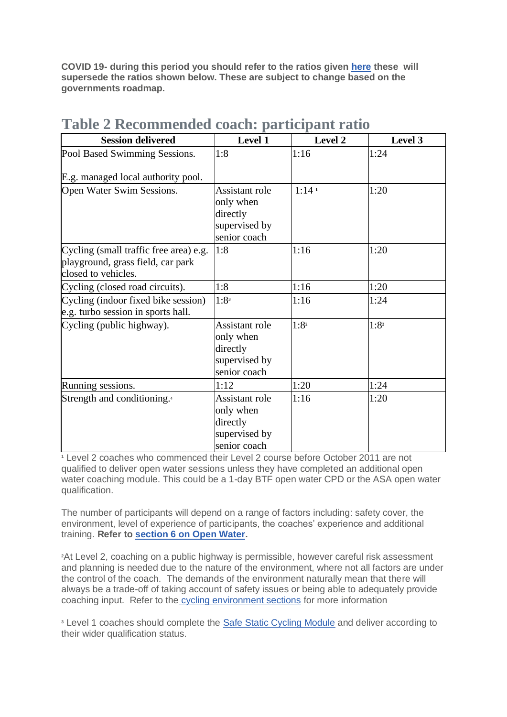**COVID 19- during this period you should refer to the ratios given [here](https://www.britishtriathlon.org/the-big-reboot) these will supersede the ratios shown below. These are subject to change based on the governments roadmap.**

| <b>Session delivered</b>                                                                           | Level 1                                                                  | Level 2           | Level 3          |
|----------------------------------------------------------------------------------------------------|--------------------------------------------------------------------------|-------------------|------------------|
| Pool Based Swimming Sessions.                                                                      | 1:8                                                                      | 1:16              | 1:24             |
| E.g. managed local authority pool.                                                                 |                                                                          |                   |                  |
| Open Water Swim Sessions.                                                                          | Assistant role<br>only when<br>directly<br>supervised by<br>senior coach | 1:14 <sup>1</sup> | 1:20             |
| Cycling (small traffic free area) e.g.<br>playground, grass field, car park<br>closed to vehicles. | 1:8                                                                      | 1:16              | 1:20             |
| Cycling (closed road circuits).                                                                    | 1:8                                                                      | 1:16              | 1:20             |
| Cycling (indoor fixed bike session)<br>e.g. turbo session in sports hall.                          | 1:8 <sup>3</sup>                                                         | 1:16              | 1:24             |
| Cycling (public highway).                                                                          | Assistant role<br>only when<br>directly<br>supervised by<br>senior coach | 1:8 <sup>2</sup>  | 1:8 <sup>2</sup> |
| Running sessions.                                                                                  | 1:12                                                                     | 1:20              | 1:24             |
| Strength and conditioning. <sup>4</sup>                                                            | Assistant role<br>only when<br>directly<br>supervised by<br>senior coach | 1:16              | 1:20             |

# **Table 2 Recommended coach: participant ratio**

**<sup>1</sup>** Level 2 coaches who commenced their Level 2 course before October 2011 are not qualified to deliver open water sessions unless they have completed an additional open water coaching module. This could be a 1-day BTF open water CPD or the ASA open water qualification.

The number of participants will depend on a range of factors including: safety cover, the environment, level of experience of participants, the coaches' experience and additional training. **Refer to [section 6 on Open Water.](https://learninghub.britishtriathlon.org/mod/book/view.php?id=4019&chapterid=11317)**

**<sup>2</sup>**At Level 2, coaching on a public highway is permissible, however careful risk assessment and planning is needed due to the nature of the environment, where not all factors are under the control of the coach. The demands of the environment naturally mean that there will always be a trade-off of taking account of safety issues or being able to adequately provide coaching input. Refer to the [cycling environment sections](https://learninghub.britishtriathlon.org/mod/book/view.php?id=3942) for more information

**<sup>3</sup>** Level 1 coaches should complete the [Safe Static Cycling Module](https://learninghub.britishtriathlon.org/mod/book/view.php?id=3939) and deliver according to their wider qualification status.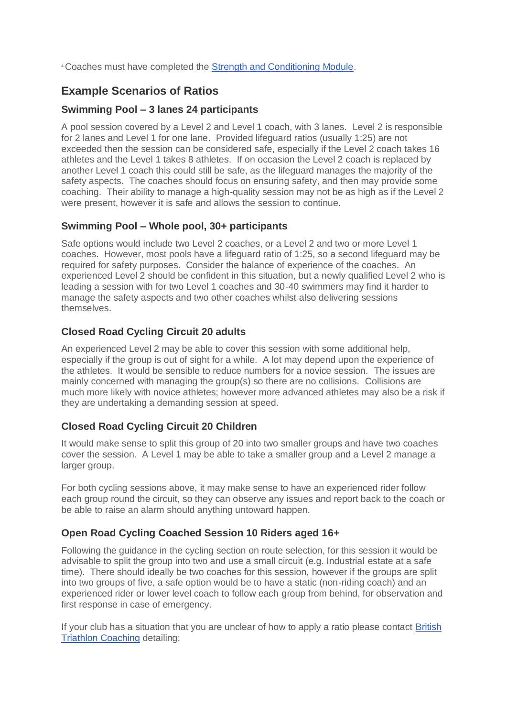<sup>4</sup>Coaches must have completed the [Strength and Conditioning Module.](https://learninghub.britishtriathlon.org/mod/book/view.php?id=4019&chapterid=11350)

### **Example Scenarios of Ratios**

#### **Swimming Pool – 3 lanes 24 participants**

A pool session covered by a Level 2 and Level 1 coach, with 3 lanes. Level 2 is responsible for 2 lanes and Level 1 for one lane. Provided lifeguard ratios (usually 1:25) are not exceeded then the session can be considered safe, especially if the Level 2 coach takes 16 athletes and the Level 1 takes 8 athletes. If on occasion the Level 2 coach is replaced by another Level 1 coach this could still be safe, as the lifeguard manages the majority of the safety aspects. The coaches should focus on ensuring safety, and then may provide some coaching. Their ability to manage a high-quality session may not be as high as if the Level 2 were present, however it is safe and allows the session to continue.

#### **Swimming Pool – Whole pool, 30+ participants**

Safe options would include two Level 2 coaches, or a Level 2 and two or more Level 1 coaches. However, most pools have a lifeguard ratio of 1:25, so a second lifeguard may be required for safety purposes. Consider the balance of experience of the coaches. An experienced Level 2 should be confident in this situation, but a newly qualified Level 2 who is leading a session with for two Level 1 coaches and 30-40 swimmers may find it harder to manage the safety aspects and two other coaches whilst also delivering sessions themselves.

### **Closed Road Cycling Circuit 20 adults**

An experienced Level 2 may be able to cover this session with some additional help, especially if the group is out of sight for a while. A lot may depend upon the experience of the athletes. It would be sensible to reduce numbers for a novice session. The issues are mainly concerned with managing the group(s) so there are no collisions. Collisions are much more likely with novice athletes; however more advanced athletes may also be a risk if they are undertaking a demanding session at speed.

#### **Closed Road Cycling Circuit 20 Children**

It would make sense to split this group of 20 into two smaller groups and have two coaches cover the session. A Level 1 may be able to take a smaller group and a Level 2 manage a larger group.

For both cycling sessions above, it may make sense to have an experienced rider follow each group round the circuit, so they can observe any issues and report back to the coach or be able to raise an alarm should anything untoward happen.

#### **Open Road Cycling Coached Session 10 Riders aged 16+**

Following the guidance in the cycling section on route selection, for this session it would be advisable to split the group into two and use a small circuit (e.g. Industrial estate at a safe time). There should ideally be two coaches for this session, however if the groups are split into two groups of five, a safe option would be to have a static (non-riding coach) and an experienced rider or lower level coach to follow each group from behind, for observation and first response in case of emergency.

If your club has a situation that you are unclear of how to apply a ratio please contact [British](https://learninghub.britishtriathlon.org/mod/book/view.php?id=4019&chapterid=11360)  [Triathlon Coaching](https://learninghub.britishtriathlon.org/mod/book/view.php?id=4019&chapterid=11360) detailing: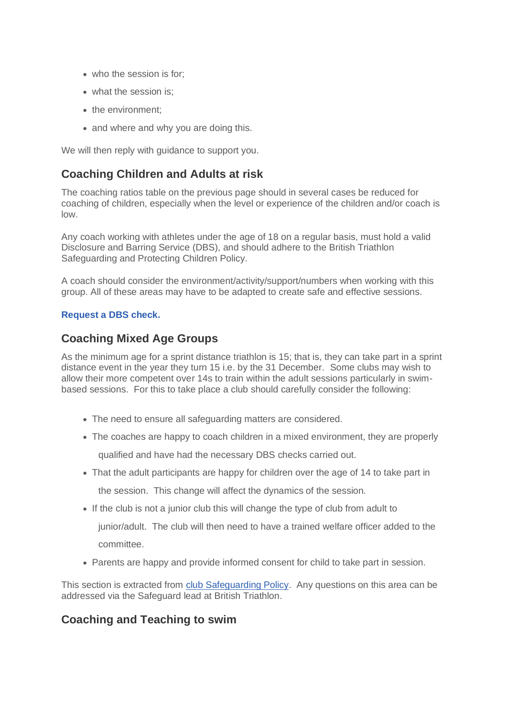- who the session is for:
- what the session is:
- the environment:
- and where and why you are doing this.

We will then reply with quidance to support you.

### **Coaching Children and Adults at risk**

The coaching ratios table on the previous page should in several cases be reduced for coaching of children, especially when the level or experience of the children and/or coach is low.

Any coach working with athletes under the age of 18 on a regular basis, must hold a valid Disclosure and Barring Service (DBS), and should adhere to the British Triathlon Safeguarding and Protecting Children Policy.

A coach should consider the environment/activity/support/numbers when working with this group. All of these areas may have to be adapted to create safe and effective sessions.

#### **Request a [DBS check.](https://learninghub.britishtriathlon.org/mod/feedback/view.php?id=4030)**

### **Coaching Mixed Age Groups**

As the minimum age for a sprint distance triathlon is 15; that is, they can take part in a sprint distance event in the year they turn 15 i.e. by the 31 December. Some clubs may wish to allow their more competent over 14s to train within the adult sessions particularly in swimbased sessions. For this to take place a club should carefully consider the following:

- The need to ensure all safeguarding matters are considered.
- The coaches are happy to coach children in a mixed environment, they are properly

qualified and have had the necessary DBS checks carried out.

• That the adult participants are happy for children over the age of 14 to take part in

the session. This change will affect the dynamics of the session.

- If the club is not a junior club this will change the type of club from adult to junior/adult. The club will then need to have a trained welfare officer added to the committee.
- Parents are happy and provide informed consent for child to take part in session.

This section is extracted from [club Safeguarding Policy.](https://www.britishtriathlon.org/about-us/safeguarding/clubs-and-coaches) Any questions on this area can be addressed via the Safeguard lead at British Triathlon.

# **Coaching and Teaching to swim**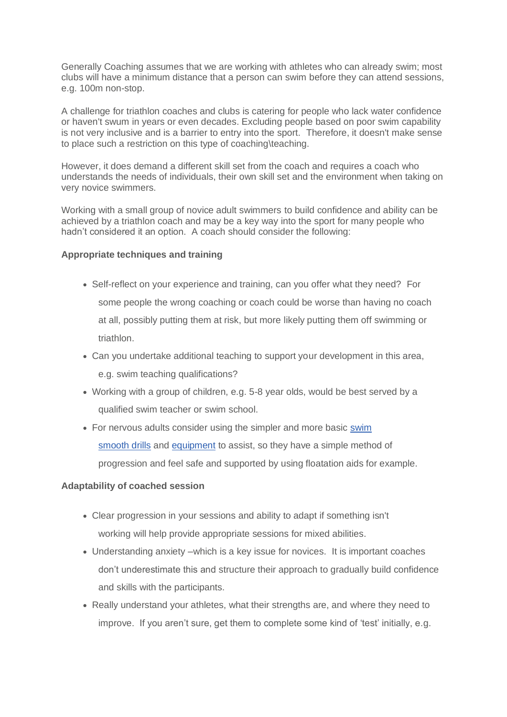Generally Coaching assumes that we are working with athletes who can already swim; most clubs will have a minimum distance that a person can swim before they can attend sessions, e.g. 100m non-stop.

A challenge for triathlon coaches and clubs is catering for people who lack water confidence or haven't swum in years or even decades. Excluding people based on poor swim capability is not very inclusive and is a barrier to entry into the sport. Therefore, it doesn't make sense to place such a restriction on this type of coaching\teaching.

However, it does demand a different skill set from the coach and requires a coach who understands the needs of individuals, their own skill set and the environment when taking on very novice swimmers.

Working with a small group of novice adult swimmers to build confidence and ability can be achieved by a triathlon coach and may be a key way into the sport for many people who hadn't considered it an option. A coach should consider the following:

#### **Appropriate techniques and training**

- Self-reflect on your experience and training, can you offer what they need? For some people the wrong coaching or coach could be worse than having no coach at all, possibly putting them at risk, but more likely putting them off swimming or triathlon.
- Can you undertake additional teaching to support your development in this area, e.g. swim teaching qualifications?
- Working with a group of children, e.g. 5-8 year olds, would be best served by a qualified swim teacher or swim school.
- For nervous adults consider using the simpler and more basic [swim](https://learninghub.britishtriathlon.org/mod/book/view.php?id=3932&chapterid=10956)  [smooth](https://learninghub.britishtriathlon.org/mod/book/view.php?id=3932&chapterid=10956) drills and [equipment](https://learninghub.britishtriathlon.org/mod/book/view.php?id=3930) to assist, so they have a simple method of progression and feel safe and supported by using floatation aids for example.

#### **Adaptability of coached session**

- Clear progression in your sessions and ability to adapt if something isn't working will help provide appropriate sessions for mixed abilities.
- Understanding anxiety –which is a key issue for novices. It is important coaches don't underestimate this and structure their approach to gradually build confidence and skills with the participants.
- Really understand your athletes, what their strengths are, and where they need to improve. If you aren't sure, get them to complete some kind of 'test' initially, e.g.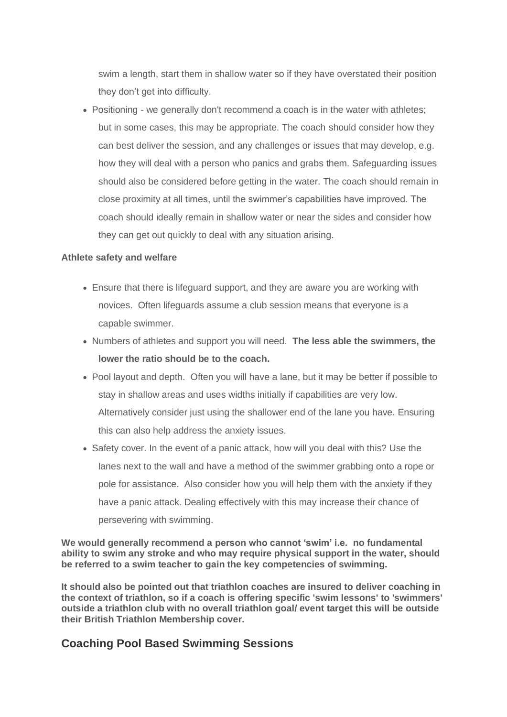swim a length, start them in shallow water so if they have overstated their position they don't get into difficulty.

• Positioning - we generally don't recommend a coach is in the water with athletes; but in some cases, this may be appropriate. The coach should consider how they can best deliver the session, and any challenges or issues that may develop, e.g. how they will deal with a person who panics and grabs them. Safeguarding issues should also be considered before getting in the water. The coach should remain in close proximity at all times, until the swimmer's capabilities have improved. The coach should ideally remain in shallow water or near the sides and consider how they can get out quickly to deal with any situation arising.

#### **Athlete safety and welfare**

- Ensure that there is lifeguard support, and they are aware you are working with novices. Often lifeguards assume a club session means that everyone is a capable swimmer.
- Numbers of athletes and support you will need. **The less able the swimmers, the lower the ratio should be to the coach.**
- Pool layout and depth. Often you will have a lane, but it may be better if possible to stay in shallow areas and uses widths initially if capabilities are very low. Alternatively consider just using the shallower end of the lane you have. Ensuring this can also help address the anxiety issues.
- Safety cover. In the event of a panic attack, how will you deal with this? Use the lanes next to the wall and have a method of the swimmer grabbing onto a rope or pole for assistance. Also consider how you will help them with the anxiety if they have a panic attack. Dealing effectively with this may increase their chance of persevering with swimming.

**We would generally recommend a person who cannot 'swim' i.e. no fundamental ability to swim any stroke and who may require physical support in the water, should be referred to a swim teacher to gain the key competencies of swimming.**

**It should also be pointed out that triathlon coaches are insured to deliver coaching in the context of triathlon, so if a coach is offering specific 'swim lessons' to 'swimmers' outside a triathlon club with no overall triathlon goal/ event target this will be outside their British Triathlon Membership cover.**

### **Coaching Pool Based Swimming Sessions**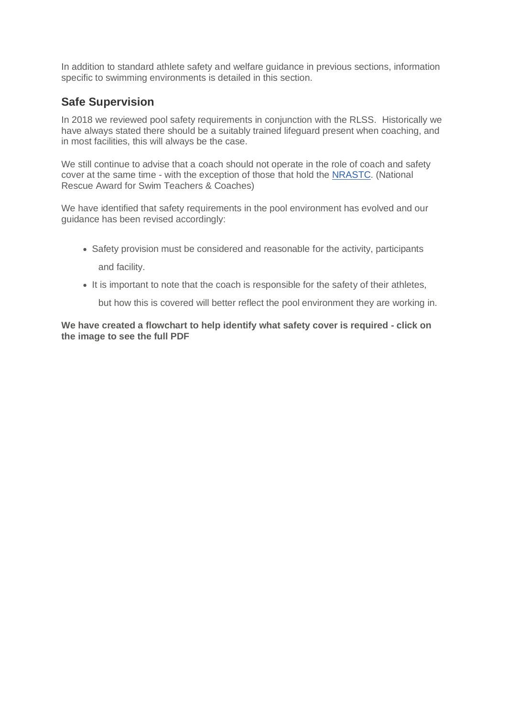In addition to standard athlete safety and welfare guidance in previous sections, information specific to swimming environments is detailed in this section.

### **Safe Supervision**

In 2018 we reviewed pool safety requirements in conjunction with the RLSS. Historically we have always stated there should be a suitably trained lifeguard present when coaching, and in most facilities, this will always be the case.

We still continue to advise that a coach should not operate in the role of coach and safety cover at the same time - with the exception of those that hold the [NRASTC.](https://learninghub.britishtriathlon.org/mod/book/view.php?id=4019&chapterid=11358) (National Rescue Award for Swim Teachers & Coaches)

We have identified that safety requirements in the pool environment has evolved and our guidance has been revised accordingly:

- Safety provision must be considered and reasonable for the activity, participants and facility.
- It is important to note that the coach is responsible for the safety of their athletes,

but how this is covered will better reflect the pool environment they are working in.

**We have created a flowchart to help identify what safety cover is required - click on the image to see the full PDF**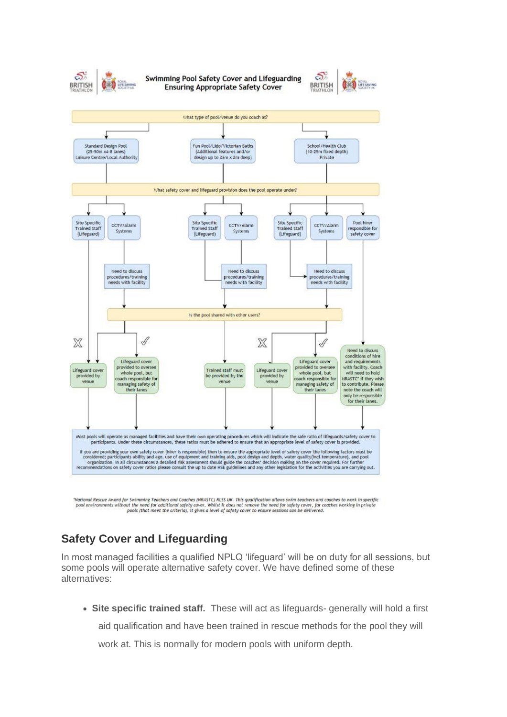

Swimming Pool Safety Cover and Lifeguarding **Ensuring Appropriate Safety Cover** 





'Mational Rescue Award for Swimming Teachers and Coaches (NRASTC) RLSS UK. This qualification allows swim teachers and coaches to work in specific pool environments without the need for additional safety cover. Whilst it does not remove the need for safety cover, for coaches working in private<br>pools (that meet the criteria), it gives a level of safety cover to ensure

# **Safety Cover and Lifeguarding**

In most managed facilities a qualified NPLQ 'lifeguard' will be on duty for all sessions, but some pools will operate alternative safety cover. We have defined some of these alternatives:

• **Site specific trained staff.** These will act as lifeguards- generally will hold a first aid qualification and have been trained in rescue methods for the pool they will

work at. This is normally for modern pools with uniform depth.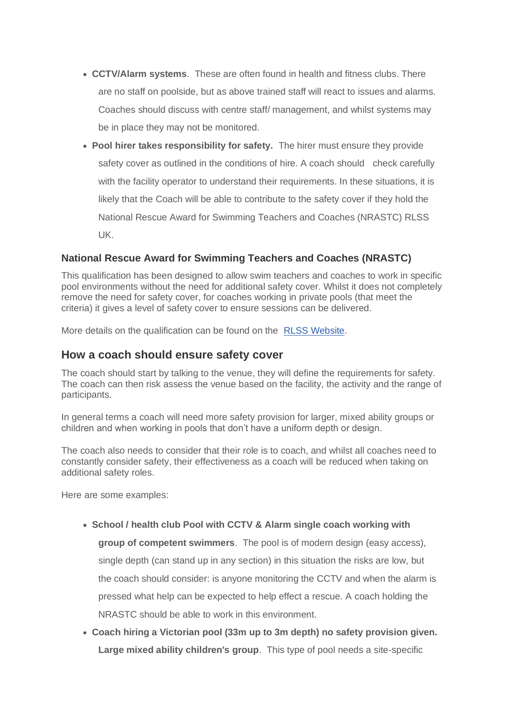- **CCTV/Alarm systems**. These are often found in health and fitness clubs. There are no staff on poolside, but as above trained staff will react to issues and alarms. Coaches should discuss with centre staff/ management, and whilst systems may be in place they may not be monitored.
- **Pool hirer takes responsibility for safety.** The hirer must ensure they provide safety cover as outlined in the conditions of hire. A coach should check carefully with the facility operator to understand their requirements. In these situations, it is likely that the Coach will be able to contribute to the safety cover if they hold the National Rescue Award for Swimming Teachers and Coaches (NRASTC) RLSS UK.

### **National Rescue Award for Swimming Teachers and Coaches (NRASTC)**

This qualification has been designed to allow swim teachers and coaches to work in specific pool environments without the need for additional safety cover. Whilst it does not completely remove the need for safety cover, for coaches working in private pools (that meet the criteria) it gives a level of safety cover to ensure sessions can be delivered.

More details on the qualification can be found on the [RLSS Website.](https://rlss.org.uk/professional-qualifications/national-rescue-award-for-swimming-teachers-coaches-nrastc/)

### **How a coach should ensure safety cover**

The coach should start by talking to the venue, they will define the requirements for safety. The coach can then risk assess the venue based on the facility, the activity and the range of participants.

In general terms a coach will need more safety provision for larger, mixed ability groups or children and when working in pools that don't have a uniform depth or design.

The coach also needs to consider that their role is to coach, and whilst all coaches need to constantly consider safety, their effectiveness as a coach will be reduced when taking on additional safety roles.

Here are some examples:

- **School / health club Pool with CCTV & Alarm single coach working with group of competent swimmers**. The pool is of modern design (easy access), single depth (can stand up in any section) in this situation the risks are low, but the coach should consider: is anyone monitoring the CCTV and when the alarm is pressed what help can be expected to help effect a rescue. A coach holding the NRASTC should be able to work in this environment.
- **Coach hiring a Victorian pool (33m up to 3m depth) no safety provision given. Large mixed ability children's group**. This type of pool needs a site-specific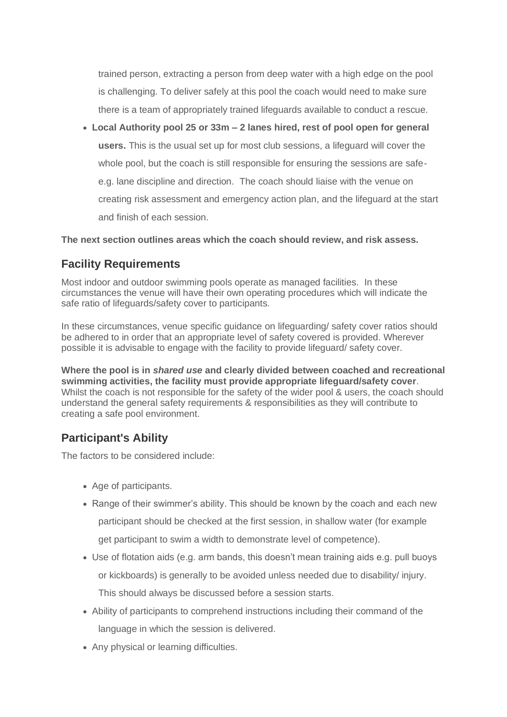trained person, extracting a person from deep water with a high edge on the pool is challenging. To deliver safely at this pool the coach would need to make sure there is a team of appropriately trained lifeguards available to conduct a rescue.

• **Local Authority pool 25 or 33m – 2 lanes hired, rest of pool open for general users.** This is the usual set up for most club sessions, a lifeguard will cover the whole pool, but the coach is still responsible for ensuring the sessions are safee.g. lane discipline and direction. The coach should liaise with the venue on creating risk assessment and emergency action plan, and the lifeguard at the start and finish of each session.

**The next section outlines areas which the coach should review, and risk assess.**

### **Facility Requirements**

Most indoor and outdoor swimming pools operate as managed facilities. In these circumstances the venue will have their own operating procedures which will indicate the safe ratio of lifeguards/safety cover to participants.

In these circumstances, venue specific guidance on lifeguarding/ safety cover ratios should be adhered to in order that an appropriate level of safety covered is provided. Wherever possible it is advisable to engage with the facility to provide lifeguard/ safety cover.

**Where the pool is in** *shared use* **and clearly divided between coached and recreational swimming activities, the facility must provide appropriate lifeguard/safety cover**. Whilst the coach is not responsible for the safety of the wider pool & users, the coach should understand the general safety requirements & responsibilities as they will contribute to creating a safe pool environment.

### **Participant's Ability**

The factors to be considered include:

- Age of participants.
- Range of their swimmer's ability. This should be known by the coach and each new participant should be checked at the first session, in shallow water (for example get participant to swim a width to demonstrate level of competence).
- Use of flotation aids (e.g. arm bands, this doesn't mean training aids e.g. pull buoys or kickboards) is generally to be avoided unless needed due to disability/ injury. This should always be discussed before a session starts.
- Ability of participants to comprehend instructions including their command of the language in which the session is delivered.
- Any physical or learning difficulties.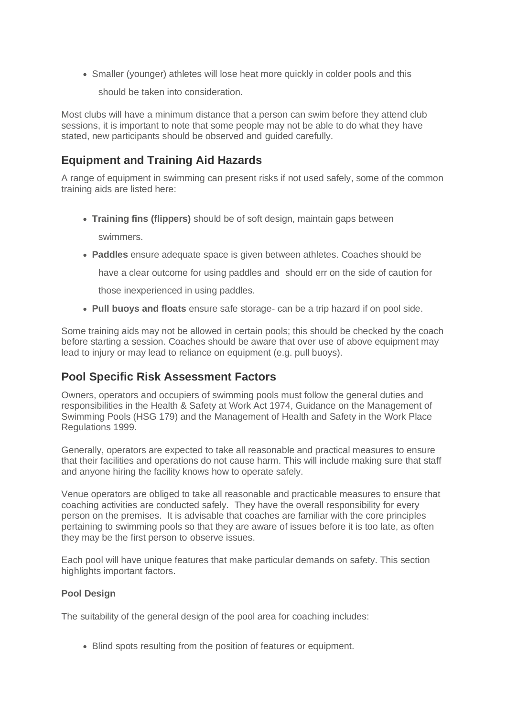• Smaller (younger) athletes will lose heat more quickly in colder pools and this

should be taken into consideration.

Most clubs will have a minimum distance that a person can swim before they attend club sessions, it is important to note that some people may not be able to do what they have stated, new participants should be observed and guided carefully.

### **Equipment and Training Aid Hazards**

A range of equipment in swimming can present risks if not used safely, some of the common training aids are listed here:

• **Training fins (flippers)** should be of soft design, maintain gaps between

swimmers.

• **Paddles** ensure adequate space is given between athletes. Coaches should be

have a clear outcome for using paddles and should err on the side of caution for

those inexperienced in using paddles.

• **Pull buoys and floats** ensure safe storage- can be a trip hazard if on pool side.

Some training aids may not be allowed in certain pools; this should be checked by the coach before starting a session. Coaches should be aware that over use of above equipment may lead to injury or may lead to reliance on equipment (e.g. pull buoys).

### **Pool Specific Risk Assessment Factors**

Owners, operators and occupiers of swimming pools must follow the general duties and responsibilities in the Health & Safety at Work Act 1974, Guidance on the Management of Swimming Pools (HSG 179) and the Management of Health and Safety in the Work Place Regulations 1999.

Generally, operators are expected to take all reasonable and practical measures to ensure that their facilities and operations do not cause harm. This will include making sure that staff and anyone hiring the facility knows how to operate safely.

Venue operators are obliged to take all reasonable and practicable measures to ensure that coaching activities are conducted safely. They have the overall responsibility for every person on the premises. It is advisable that coaches are familiar with the core principles pertaining to swimming pools so that they are aware of issues before it is too late, as often they may be the first person to observe issues.

Each pool will have unique features that make particular demands on safety. This section highlights important factors.

#### **Pool Design**

The suitability of the general design of the pool area for coaching includes:

• Blind spots resulting from the position of features or equipment.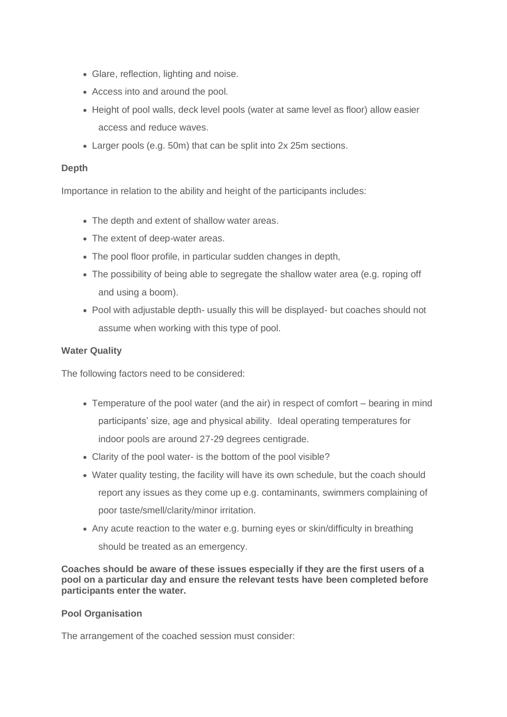- Glare, reflection, lighting and noise.
- Access into and around the pool.
- Height of pool walls, deck level pools (water at same level as floor) allow easier access and reduce waves.
- Larger pools (e.g. 50m) that can be split into 2x 25m sections.

#### **Depth**

Importance in relation to the ability and height of the participants includes:

- The depth and extent of shallow water areas.
- The extent of deep-water areas.
- The pool floor profile, in particular sudden changes in depth,
- The possibility of being able to segregate the shallow water area (e.g. roping off and using a boom).
- Pool with adjustable depth- usually this will be displayed- but coaches should not assume when working with this type of pool.

#### **Water Quality**

The following factors need to be considered:

- Temperature of the pool water (and the air) in respect of comfort bearing in mind participants' size, age and physical ability. Ideal operating temperatures for indoor pools are around 27-29 degrees centigrade.
- Clarity of the pool water- is the bottom of the pool visible?
- Water quality testing, the facility will have its own schedule, but the coach should report any issues as they come up e.g. contaminants, swimmers complaining of poor taste/smell/clarity/minor irritation.
- Any acute reaction to the water e.g. burning eyes or skin/difficulty in breathing should be treated as an emergency.

**Coaches should be aware of these issues especially if they are the first users of a pool on a particular day and ensure the relevant tests have been completed before participants enter the water.**

#### **Pool Organisation**

The arrangement of the coached session must consider: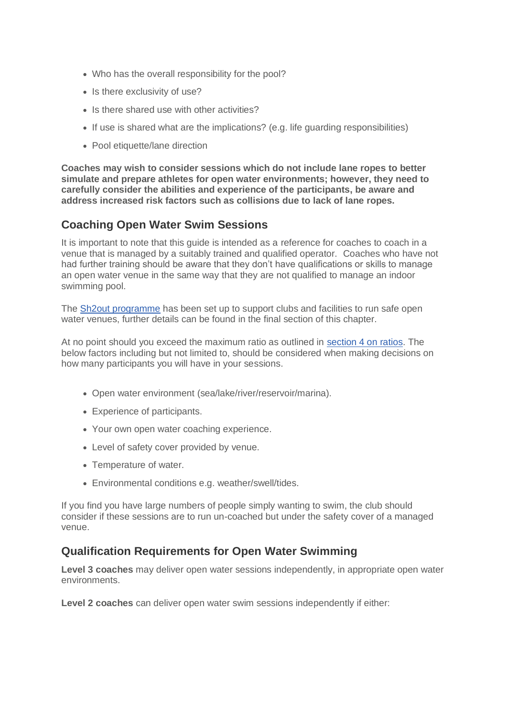- Who has the overall responsibility for the pool?
- Is there exclusivity of use?
- Is there shared use with other activities?
- If use is shared what are the implications? (e.g. life guarding responsibilities)
- Pool etiquette/lane direction

**Coaches may wish to consider sessions which do not include lane ropes to better simulate and prepare athletes for open water environments; however, they need to carefully consider the abilities and experience of the participants, be aware and address increased risk factors such as collisions due to lack of lane ropes.**

### **Coaching Open Water Swim Sessions**

It is important to note that this guide is intended as a reference for coaches to coach in a venue that is managed by a suitably trained and qualified operator. Coaches who have not had further training should be aware that they don't have qualifications or skills to manage an open water venue in the same way that they are not qualified to manage an indoor swimming pool.

The [Sh2out programme](https://learninghub.britishtriathlon.org/mod/book/view.php?id=4019&chapterid=11354) has been set up to support clubs and facilities to run safe open water venues, further details can be found in the final section of this chapter.

At no point should you exceed the maximum ratio as outlined in [section 4 on ratios.](https://learninghub.britishtriathlon.org/mod/book/view.php?id=4019&chapterid=11308) The below factors including but not limited to, should be considered when making decisions on how many participants you will have in your sessions.

- Open water environment (sea/lake/river/reservoir/marina).
- Experience of participants.
- Your own open water coaching experience.
- Level of safety cover provided by venue.
- Temperature of water.
- Environmental conditions e.g. weather/swell/tides.

If you find you have large numbers of people simply wanting to swim, the club should consider if these sessions are to run un-coached but under the safety cover of a managed venue.

### **Qualification Requirements for Open Water Swimming**

**Level 3 coaches** may deliver open water sessions independently, in appropriate open water environments.

**Level 2 coaches** can deliver open water swim sessions independently if either: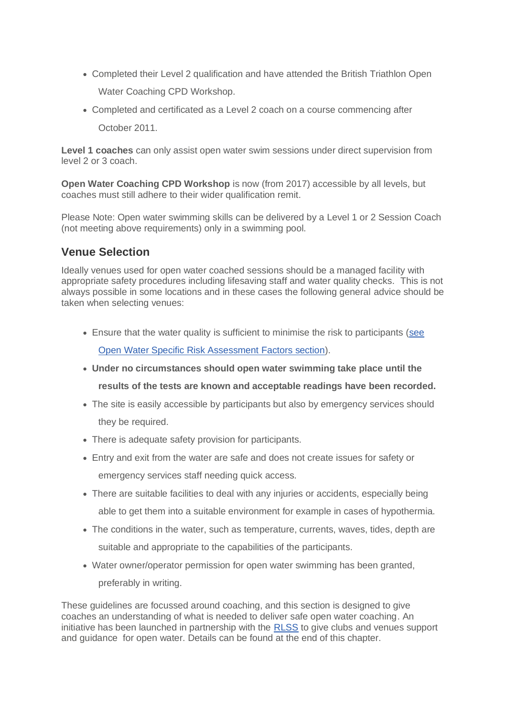- Completed their Level 2 qualification and have attended the British Triathlon Open Water Coaching CPD Workshop.
- Completed and certificated as a Level 2 coach on a course commencing after October 2011.

**Level 1 coaches** can only assist open water swim sessions under direct supervision from level 2 or 3 coach.

**Open Water Coaching CPD Workshop** is now (from 2017) accessible by all levels, but coaches must still adhere to their wider qualification remit.

Please Note: Open water swimming skills can be delivered by a Level 1 or 2 Session Coach (not meeting above requirements) only in a swimming pool.

### **Venue Selection**

Ideally venues used for open water coached sessions should be a managed facility with appropriate safety procedures including lifesaving staff and water quality checks. This is not always possible in some locations and in these cases the following general advice should be taken when selecting venues:

- Ensure that the water quality is sufficient to minimise the risk to participants [\(see](https://learninghub.britishtriathlon.org/mod/book/view.php?id=4019&chapterid=11323)  [Open Water Specific Risk Assessment Factors section\)](https://learninghub.britishtriathlon.org/mod/book/view.php?id=4019&chapterid=11323).
- **Under no circumstances should open water swimming take place until the**

**results of the tests are known and acceptable readings have been recorded.**

- The site is easily accessible by participants but also by emergency services should they be required.
- There is adequate safety provision for participants.
- Entry and exit from the water are safe and does not create issues for safety or emergency services staff needing quick access.
- There are suitable facilities to deal with any injuries or accidents, especially being able to get them into a suitable environment for example in cases of hypothermia.
- The conditions in the water, such as temperature, currents, waves, tides, depth are suitable and appropriate to the capabilities of the participants.
- Water owner/operator permission for open water swimming has been granted, preferably in writing.

These guidelines are focussed around coaching, and this section is designed to give coaches an understanding of what is needed to deliver safe open water coaching. An initiative has been launched in partnership with the [RLSS](https://rlss.org.uk/) to give clubs and venues support and guidance for open water. Details can be found at the end of this chapter.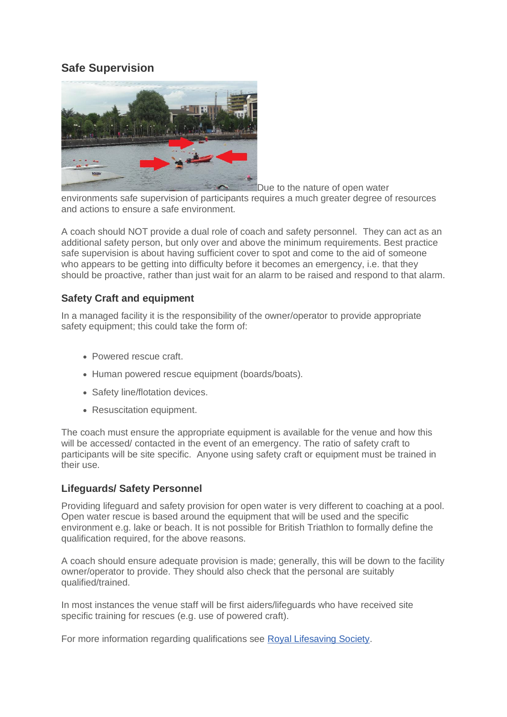### **Safe Supervision**



Due to the nature of open water

environments safe supervision of participants requires a much greater degree of resources and actions to ensure a safe environment.

A coach should NOT provide a dual role of coach and safety personnel. They can act as an additional safety person, but only over and above the minimum requirements. Best practice safe supervision is about having sufficient cover to spot and come to the aid of someone who appears to be getting into difficulty before it becomes an emergency, i.e. that they should be proactive, rather than just wait for an alarm to be raised and respond to that alarm.

### **Safety Craft and equipment**

In a managed facility it is the responsibility of the owner/operator to provide appropriate safety equipment; this could take the form of:

- Powered rescue craft.
- Human powered rescue equipment (boards/boats).
- Safety line/flotation devices.
- Resuscitation equipment.

The coach must ensure the appropriate equipment is available for the venue and how this will be accessed/ contacted in the event of an emergency. The ratio of safety craft to participants will be site specific. Anyone using safety craft or equipment must be trained in their use.

#### **Lifeguards/ Safety Personnel**

Providing lifeguard and safety provision for open water is very different to coaching at a pool. Open water rescue is based around the equipment that will be used and the specific environment e.g. lake or beach. It is not possible for British Triathlon to formally define the qualification required, for the above reasons.

A coach should ensure adequate provision is made; generally, this will be down to the facility owner/operator to provide. They should also check that the personal are suitably qualified/trained.

In most instances the venue staff will be first aiders/lifeguards who have received site specific training for rescues (e.g. use of powered craft).

For more information regarding qualifications see [Royal Lifesaving Society.](http://www.rlss.org.uk/)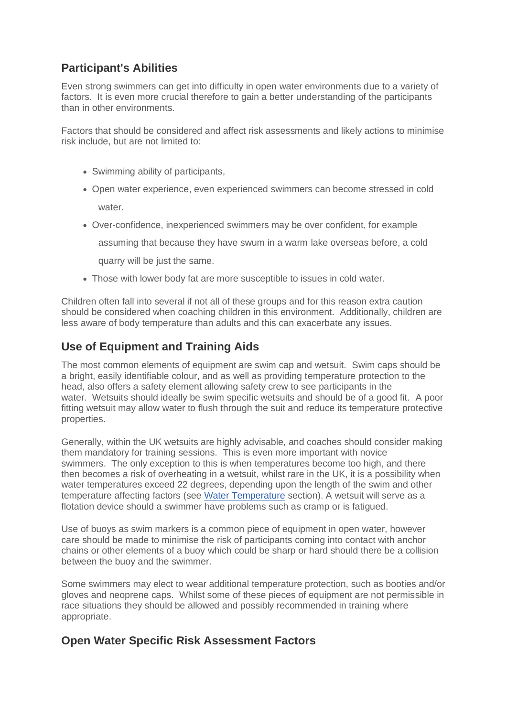# **Participant's Abilities**

Even strong swimmers can get into difficulty in open water environments due to a variety of factors. It is even more crucial therefore to gain a better understanding of the participants than in other environments.

Factors that should be considered and affect risk assessments and likely actions to minimise risk include, but are not limited to:

- Swimming ability of participants,
- Open water experience, even experienced swimmers can become stressed in cold

water.

• Over-confidence, inexperienced swimmers may be over confident, for example

assuming that because they have swum in a warm lake overseas before, a cold

quarry will be just the same.

• Those with lower body fat are more susceptible to issues in cold water.

Children often fall into several if not all of these groups and for this reason extra caution should be considered when coaching children in this environment. Additionally, children are less aware of body temperature than adults and this can exacerbate any issues.

### **Use of Equipment and Training Aids**

The most common elements of equipment are swim cap and wetsuit. Swim caps should be a bright, easily identifiable colour, and as well as providing temperature protection to the head, also offers a safety element allowing safety crew to see participants in the water. Wetsuits should ideally be swim specific wetsuits and should be of a good fit. A poor fitting wetsuit may allow water to flush through the suit and reduce its temperature protective properties.

Generally, within the UK wetsuits are highly advisable, and coaches should consider making them mandatory for training sessions. This is even more important with novice swimmers. The only exception to this is when temperatures become too high, and there then becomes a risk of overheating in a wetsuit, whilst rare in the UK, it is a possibility when water temperatures exceed 22 degrees, depending upon the length of the swim and other temperature affecting factors (see [Water Temperature](https://learninghub.britishtriathlon.org/mod/book/view.php?id=4019&chapterid=11323) section). A wetsuit will serve as a flotation device should a swimmer have problems such as cramp or is fatigued.

Use of buoys as swim markers is a common piece of equipment in open water, however care should be made to minimise the risk of participants coming into contact with anchor chains or other elements of a buoy which could be sharp or hard should there be a collision between the buoy and the swimmer.

Some swimmers may elect to wear additional temperature protection, such as booties and/or gloves and neoprene caps. Whilst some of these pieces of equipment are not permissible in race situations they should be allowed and possibly recommended in training where appropriate.

### **Open Water Specific Risk Assessment Factors**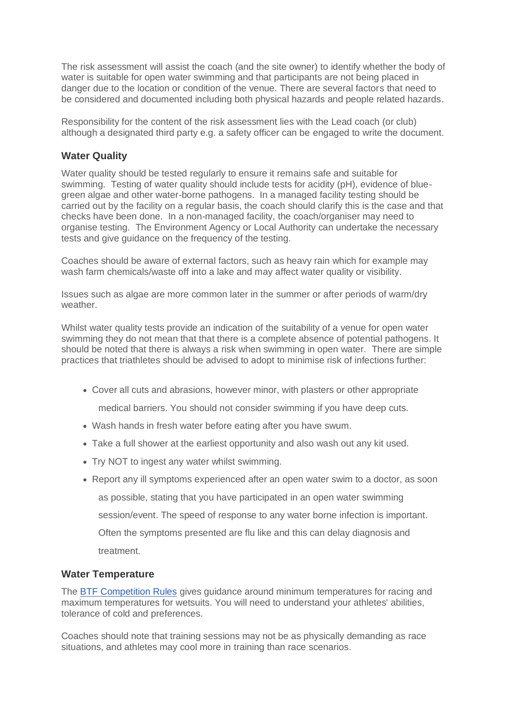The risk assessment will assist the coach (and the site owner) to identify whether the body of water is suitable for open water swimming and that participants are not being placed in danger due to the location or condition of the venue. There are several factors that need to be considered and documented including both physical hazards and people related hazards.

Responsibility for the content of the risk assessment lies with the Lead coach (or club) although a designated third party e.g. a safety officer can be engaged to write the document.

#### **Water Quality**

Water quality should be tested regularly to ensure it remains safe and suitable for swimming. Testing of water quality should include tests for acidity (pH), evidence of bluegreen algae and other water-borne pathogens. In a managed facility testing should be carried out by the facility on a regular basis, the coach should clarify this is the case and that checks have been done. In a non-managed facility, the coach/organiser may need to organise testing. The Environment Agency or Local Authority can undertake the necessary tests and give guidance on the frequency of the testing.

Coaches should be aware of external factors, such as heavy rain which for example may wash farm chemicals/waste off into a lake and may affect water quality or visibility.

Issues such as algae are more common later in the summer or after periods of warm/dry weather.

Whilst water quality tests provide an indication of the suitability of a venue for open water swimming they do not mean that that there is a complete absence of potential pathogens. It should be noted that there is always a risk when swimming in open water. There are simple practices that triathletes should be advised to adopt to minimise risk of infections further:

• Cover all cuts and abrasions, however minor, with plasters or other appropriate

medical barriers. You should not consider swimming if you have deep cuts.

- Wash hands in fresh water before eating after you have swum.
- Take a full shower at the earliest opportunity and also wash out any kit used.
- Try NOT to ingest any water whilst swimming.
- Report any ill symptoms experienced after an open water swim to a doctor, as soon as possible, stating that you have participated in an open water swimming session/event. The speed of response to any water borne infection is important. Often the symptoms presented are flu like and this can delay diagnosis and treatment.

#### **Water Temperature**

The [BTF Competition Rules](https://learninghub.britishtriathlon.org/mod/data/view.php?d=169&rid=24411) gives guidance around minimum temperatures for racing and maximum temperatures for wetsuits. You will need to understand your athletes' abilities, tolerance of cold and preferences.

Coaches should note that training sessions may not be as physically demanding as race situations, and athletes may cool more in training than race scenarios.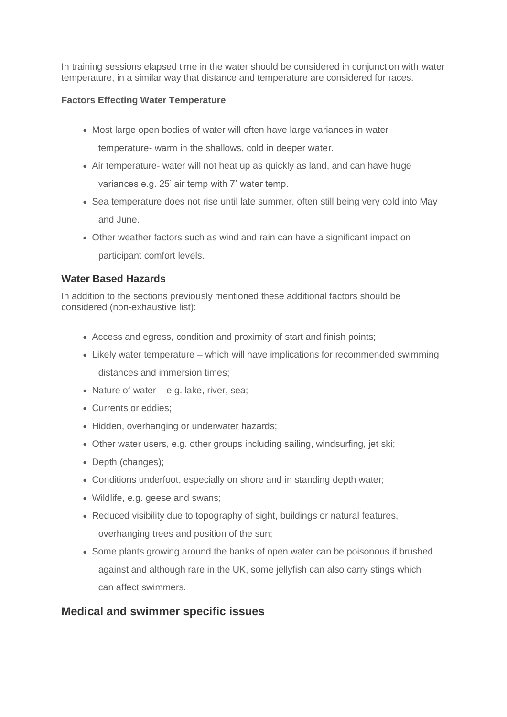In training sessions elapsed time in the water should be considered in conjunction with water temperature, in a similar way that distance and temperature are considered for races.

#### **Factors Effecting Water Temperature**

- Most large open bodies of water will often have large variances in water temperature- warm in the shallows, cold in deeper water.
- Air temperature- water will not heat up as quickly as land, and can have huge variances e.g. 25' air temp with 7' water temp.
- Sea temperature does not rise until late summer, often still being very cold into May and June.
- Other weather factors such as wind and rain can have a significant impact on participant comfort levels.

### **Water Based Hazards**

In addition to the sections previously mentioned these additional factors should be considered (non-exhaustive list):

- Access and egress, condition and proximity of start and finish points;
- Likely water temperature which will have implications for recommended swimming distances and immersion times;
- Nature of water e.g. lake, river, sea;
- Currents or eddies;
- Hidden, overhanging or underwater hazards;
- Other water users, e.g. other groups including sailing, windsurfing, jet ski;
- Depth (changes);
- Conditions underfoot, especially on shore and in standing depth water;
- Wildlife, e.g. geese and swans;
- Reduced visibility due to topography of sight, buildings or natural features, overhanging trees and position of the sun;
- Some plants growing around the banks of open water can be poisonous if brushed against and although rare in the UK, some jellyfish can also carry stings which can affect swimmers.

### **Medical and swimmer specific issues**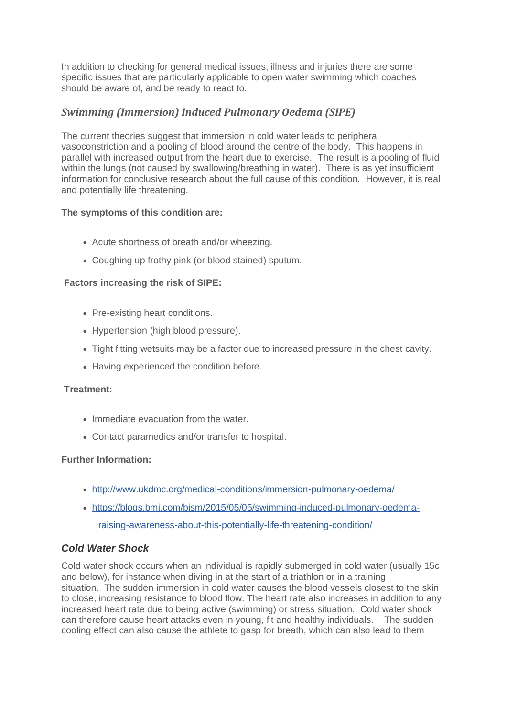In addition to checking for general medical issues, illness and injuries there are some specific issues that are particularly applicable to open water swimming which coaches should be aware of, and be ready to react to.

### *Swimming (Immersion) Induced Pulmonary Oedema (SIPE)*

The current theories suggest that immersion in cold water leads to peripheral vasoconstriction and a pooling of blood around the centre of the body. This happens in parallel with increased output from the heart due to exercise. The result is a pooling of fluid within the lungs (not caused by swallowing/breathing in water). There is as yet insufficient information for conclusive research about the full cause of this condition. However, it is real and potentially life threatening.

#### **The symptoms of this condition are:**

- Acute shortness of breath and/or wheezing.
- Coughing up frothy pink (or blood stained) sputum.

#### **Factors increasing the risk of SIPE:**

- Pre-existing heart conditions.
- Hypertension (high blood pressure).
- Tight fitting wetsuits may be a factor due to increased pressure in the chest cavity.
- Having experienced the condition before.

#### **Treatment:**

- Immediate evacuation from the water.
- Contact paramedics and/or transfer to hospital.

#### **Further Information:**

- [http://www.ukdmc.org/medical-conditions/immersion-pulmonary-oedema/](https://eur01.safelinks.protection.outlook.com/?url=http%3A%2F%2Fwww.ukdmc.org%2Fmedical-conditions%2Fimmersion-pulmonary-oedema%2F&data=02%7C01%7Ccoaching%40britishtriathlon.org%7Ce71fceddae6c4701258f08d6e923d614%7C07fe2f50667547739a65ffe43ba4930e%7C0%7C0%7C636952737468967810&sdata=lCjPRp1ISnsV0b5QoWQ0vdawfpnfIw1ldXXrjBziwO8%3D&reserved=0)
- [https://blogs.bmj.com/bjsm/2015/05/05/swimming-induced-pulmonary-oedema](https://eur01.safelinks.protection.outlook.com/?url=https%3A%2F%2Fblogs.bmj.com%2Fbjsm%2F2015%2F05%2F05%2Fswimming-induced-pulmonary-oedema-raising-awareness-about-this-potentially-life-threatening-condition%2F&data=02%7C01%7Ccoaching%40britishtriathlon.org%7Ce71fceddae6c4701258f08d6e923d614%7C07fe2f50667547739a65ffe43ba4930e%7C0%7C0%7C636952737468967810&sdata=MGPmK0ofhHIzjP1uZAAXyWabzwgxtun%2FliVldhKUvR4%3D&reserved=0)[raising-awareness-about-this-potentially-life-threatening-condition/](https://eur01.safelinks.protection.outlook.com/?url=https%3A%2F%2Fblogs.bmj.com%2Fbjsm%2F2015%2F05%2F05%2Fswimming-induced-pulmonary-oedema-raising-awareness-about-this-potentially-life-threatening-condition%2F&data=02%7C01%7Ccoaching%40britishtriathlon.org%7Ce71fceddae6c4701258f08d6e923d614%7C07fe2f50667547739a65ffe43ba4930e%7C0%7C0%7C636952737468967810&sdata=MGPmK0ofhHIzjP1uZAAXyWabzwgxtun%2FliVldhKUvR4%3D&reserved=0)

#### *Cold Water Shock*

Cold water shock occurs when an individual is rapidly submerged in cold water (usually 15c and below), for instance when diving in at the start of a triathlon or in a training situation. The sudden immersion in cold water causes the blood vessels closest to the skin to close, increasing resistance to blood flow. The heart rate also increases in addition to any increased heart rate due to being active (swimming) or stress situation. Cold water shock can therefore cause heart attacks even in young, fit and healthy individuals. The sudden cooling effect can also cause the athlete to gasp for breath, which can also lead to them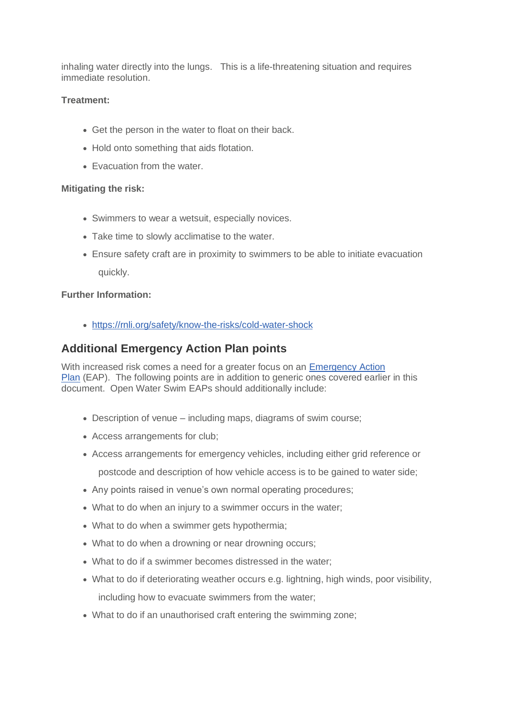inhaling water directly into the lungs. This is a life-threatening situation and requires immediate resolution.

#### **Treatment:**

- Get the person in the water to float on their back.
- Hold onto something that aids flotation.
- Evacuation from the water.

#### **Mitigating the risk:**

- Swimmers to wear a wetsuit, especially novices.
- Take time to slowly acclimatise to the water.
- Ensure safety craft are in proximity to swimmers to be able to initiate evacuation quickly.

#### **Further Information:**

• <https://rnli.org/safety/know-the-risks/cold-water-shock>

### **Additional Emergency Action Plan points**

With increased risk comes a need for a greater focus on an **Emergency Action** [Plan](https://learninghub.britishtriathlon.org/mod/data/view.php?d=169&rid=24393) (EAP). The following points are in addition to generic ones covered earlier in this document. Open Water Swim EAPs should additionally include:

- Description of venue including maps, diagrams of swim course;
- Access arrangements for club;
- Access arrangements for emergency vehicles, including either grid reference or postcode and description of how vehicle access is to be gained to water side;
- Any points raised in venue's own normal operating procedures;
- What to do when an injury to a swimmer occurs in the water;
- What to do when a swimmer gets hypothermia;
- What to do when a drowning or near drowning occurs:
- What to do if a swimmer becomes distressed in the water;
- What to do if deteriorating weather occurs e.g. lightning, high winds, poor visibility, including how to evacuate swimmers from the water;
- What to do if an unauthorised craft entering the swimming zone: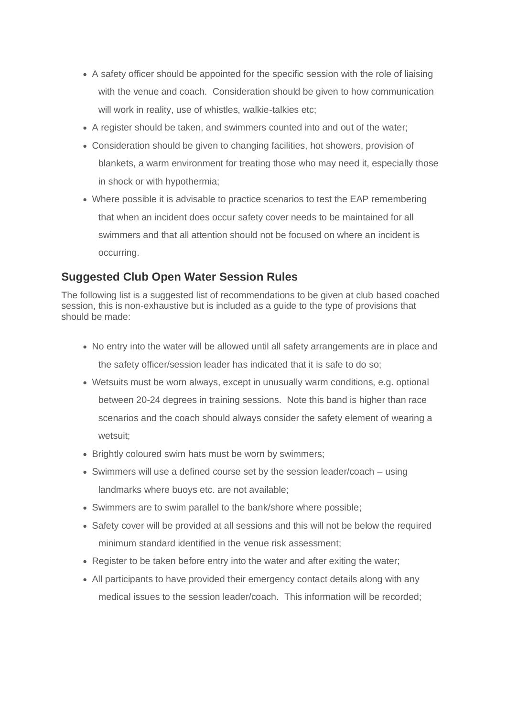- A safety officer should be appointed for the specific session with the role of liaising with the venue and coach. Consideration should be given to how communication will work in reality, use of whistles, walkie-talkies etc;
- A register should be taken, and swimmers counted into and out of the water;
- Consideration should be given to changing facilities, hot showers, provision of blankets, a warm environment for treating those who may need it, especially those in shock or with hypothermia;
- Where possible it is advisable to practice scenarios to test the EAP remembering that when an incident does occur safety cover needs to be maintained for all swimmers and that all attention should not be focused on where an incident is occurring.

### **Suggested Club Open Water Session Rules**

The following list is a suggested list of recommendations to be given at club based coached session, this is non-exhaustive but is included as a guide to the type of provisions that should be made:

- No entry into the water will be allowed until all safety arrangements are in place and the safety officer/session leader has indicated that it is safe to do so;
- Wetsuits must be worn always, except in unusually warm conditions, e.g. optional between 20-24 degrees in training sessions. Note this band is higher than race scenarios and the coach should always consider the safety element of wearing a wetsuit;
- Brightly coloured swim hats must be worn by swimmers;
- Swimmers will use a defined course set by the session leader/coach using landmarks where buoys etc. are not available;
- Swimmers are to swim parallel to the bank/shore where possible;
- Safety cover will be provided at all sessions and this will not be below the required minimum standard identified in the venue risk assessment;
- Register to be taken before entry into the water and after exiting the water;
- All participants to have provided their emergency contact details along with any medical issues to the session leader/coach. This information will be recorded;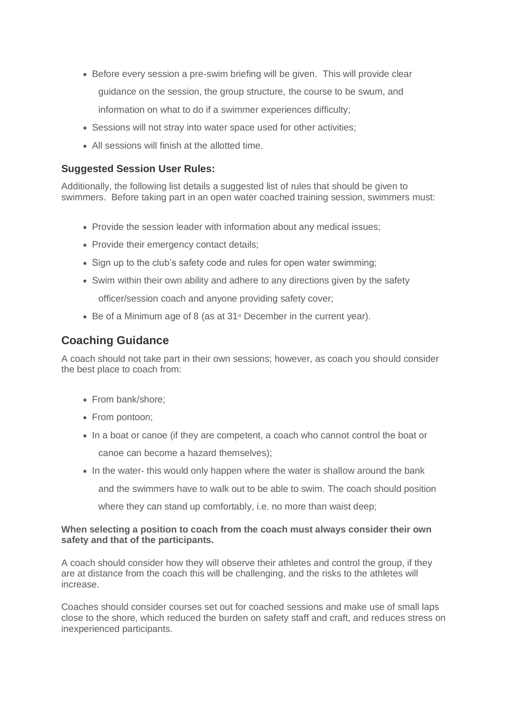- Before every session a pre-swim briefing will be given. This will provide clear guidance on the session, the group structure, the course to be swum, and information on what to do if a swimmer experiences difficulty;
- Sessions will not stray into water space used for other activities;
- All sessions will finish at the allotted time.

#### **Suggested Session User Rules:**

Additionally, the following list details a suggested list of rules that should be given to swimmers. Before taking part in an open water coached training session, swimmers must:

- Provide the session leader with information about any medical issues;
- Provide their emergency contact details;
- Sign up to the club's safety code and rules for open water swimming;
- Swim within their own ability and adhere to any directions given by the safety

officer/session coach and anyone providing safety cover;

• Be of a Minimum age of 8 (as at 31<sup>st</sup> December in the current year).

### **Coaching Guidance**

A coach should not take part in their own sessions; however, as coach you should consider the best place to coach from:

- From bank/shore:
- From pontoon;
- In a boat or canoe (if they are competent, a coach who cannot control the boat or canoe can become a hazard themselves);
- In the water- this would only happen where the water is shallow around the bank

and the swimmers have to walk out to be able to swim. The coach should position

where they can stand up comfortably, i.e. no more than waist deep;

#### **When selecting a position to coach from the coach must always consider their own safety and that of the participants.**

A coach should consider how they will observe their athletes and control the group, if they are at distance from the coach this will be challenging, and the risks to the athletes will increase.

Coaches should consider courses set out for coached sessions and make use of small laps close to the shore, which reduced the burden on safety staff and craft, and reduces stress on inexperienced participants.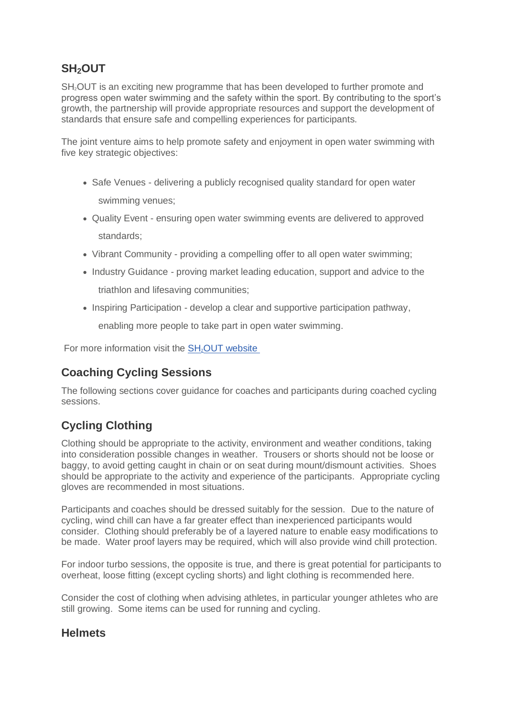# **SH2OUT**

SH<sub>2</sub>OUT is an exciting new programme that has been developed to further promote and progress open water swimming and the safety within the sport. By contributing to the sport's growth, the partnership will provide appropriate resources and support the development of standards that ensure safe and compelling experiences for participants.

The joint venture aims to help promote safety and enjoyment in open water swimming with five key strategic objectives:

- Safe Venues delivering a publicly recognised quality standard for open water swimming venues;
- Quality Event ensuring open water swimming events are delivered to approved standards;
- Vibrant Community providing a compelling offer to all open water swimming;
- Industry Guidance proving market leading education, support and advice to the triathlon and lifesaving communities;
- Inspiring Participation develop a clear and supportive participation pathway,

enabling more people to take part in open water swimming.

For more information visit the SH<sub>2</sub>[OUT website](https://www.sh2out.org/)

# **Coaching Cycling Sessions**

The following sections cover guidance for coaches and participants during coached cycling sessions.

# **Cycling Clothing**

Clothing should be appropriate to the activity, environment and weather conditions, taking into consideration possible changes in weather. Trousers or shorts should not be loose or baggy, to avoid getting caught in chain or on seat during mount/dismount activities. Shoes should be appropriate to the activity and experience of the participants. Appropriate cycling gloves are recommended in most situations.

Participants and coaches should be dressed suitably for the session. Due to the nature of cycling, wind chill can have a far greater effect than inexperienced participants would consider. Clothing should preferably be of a layered nature to enable easy modifications to be made. Water proof layers may be required, which will also provide wind chill protection.

For indoor turbo sessions, the opposite is true, and there is great potential for participants to overheat, loose fitting (except cycling shorts) and light clothing is recommended here.

Consider the cost of clothing when advising athletes, in particular younger athletes who are still growing. Some items can be used for running and cycling.

### **Helmets**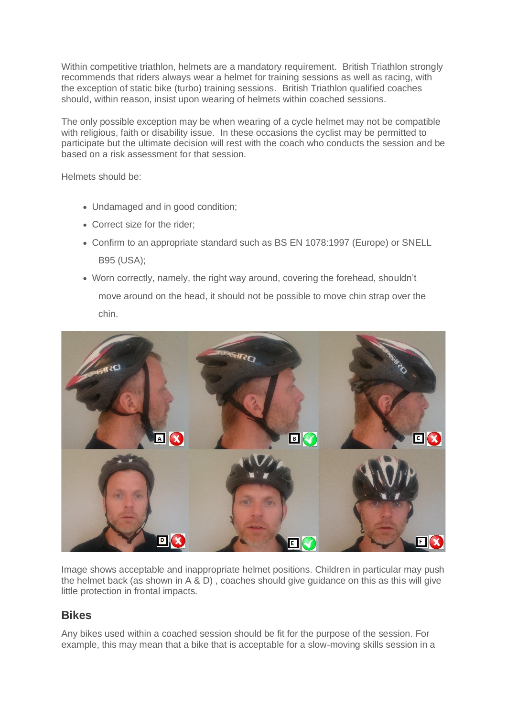Within competitive triathlon, helmets are a mandatory requirement. British Triathlon strongly recommends that riders always wear a helmet for training sessions as well as racing, with the exception of static bike (turbo) training sessions. British Triathlon qualified coaches should, within reason, insist upon wearing of helmets within coached sessions.

The only possible exception may be when wearing of a cycle helmet may not be compatible with religious, faith or disability issue. In these occasions the cyclist may be permitted to participate but the ultimate decision will rest with the coach who conducts the session and be based on a risk assessment for that session.

Helmets should be:

- Undamaged and in good condition;
- Correct size for the rider;
- Confirm to an appropriate standard such as BS EN 1078:1997 (Europe) or SNELL B95 (USA);
- Worn correctly, namely, the right way around, covering the forehead, shouldn't move around on the head, it should not be possible to move chin strap over the chin.



Image shows acceptable and inappropriate helmet positions. Children in particular may push the helmet back (as shown in A & D) , coaches should give guidance on this as this will give little protection in frontal impacts.

### **Bikes**

Any bikes used within a coached session should be fit for the purpose of the session. For example, this may mean that a bike that is acceptable for a slow-moving skills session in a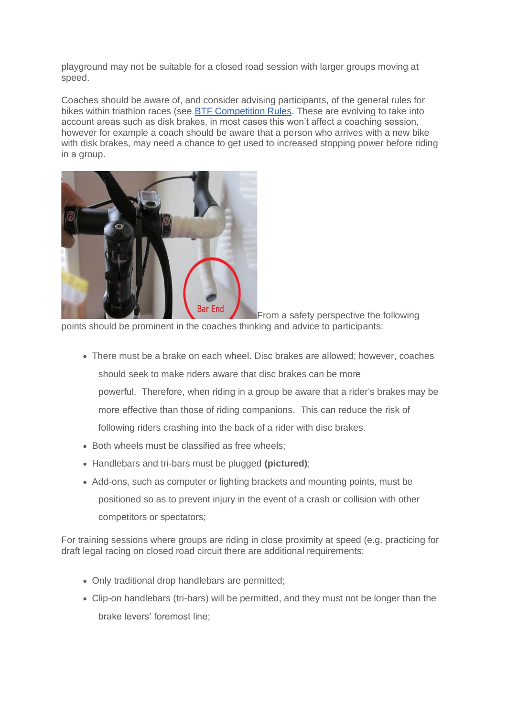playground may not be suitable for a closed road session with larger groups moving at speed.

Coaches should be aware of, and consider advising participants, of the general rules for bikes within triathlon races (see [BTF Competition Rules.](https://learninghub.britishtriathlon.org/mod/data/view.php?d=169&rid=24411) These are evolving to take into account areas such as disk brakes, in most cases this won't affect a coaching session, however for example a coach should be aware that a person who arrives with a new bike with disk brakes, may need a chance to get used to increased stopping power before riding in a group.



From a safety perspective the following points should be prominent in the coaches thinking and advice to participants:

- There must be a brake on each wheel. Disc brakes are allowed; however, coaches should seek to make riders aware that disc brakes can be more powerful. Therefore, when riding in a group be aware that a rider's brakes may be more effective than those of riding companions. This can reduce the risk of following riders crashing into the back of a rider with disc brakes.
- Both wheels must be classified as free wheels;
- Handlebars and tri-bars must be plugged **(pictured)**;
- Add-ons, such as computer or lighting brackets and mounting points, must be positioned so as to prevent injury in the event of a crash or collision with other competitors or spectators;

For training sessions where groups are riding in close proximity at speed (e.g. practicing for draft legal racing on closed road circuit there are additional requirements:

- Only traditional drop handlebars are permitted;
- Clip-on handlebars (tri-bars) will be permitted, and they must not be longer than the brake levers' foremost line;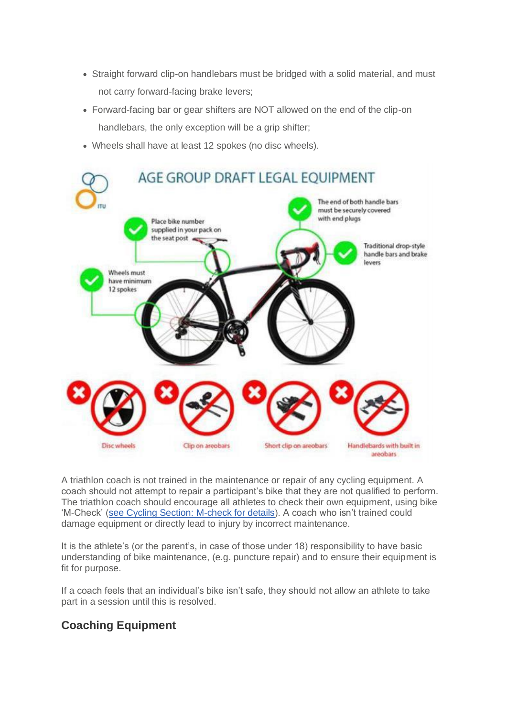- Straight forward clip-on handlebars must be bridged with a solid material, and must not carry forward-facing brake levers;
- Forward-facing bar or gear shifters are NOT allowed on the end of the clip-on handlebars, the only exception will be a grip shifter;
- Wheels shall have at least 12 spokes (no disc wheels).



A triathlon coach is not trained in the maintenance or repair of any cycling equipment. A coach should not attempt to repair a participant's bike that they are not qualified to perform. The triathlon coach should encourage all athletes to check their own equipment, using bike 'M-Check' [\(see Cycling Section: M-check for details\)](https://learninghub.britishtriathlon.org/mod/book/view.php?id=3936&chapterid=11015). A coach who isn't trained could damage equipment or directly lead to injury by incorrect maintenance.

It is the athlete's (or the parent's, in case of those under 18) responsibility to have basic understanding of bike maintenance, (e.g. puncture repair) and to ensure their equipment is fit for purpose.

If a coach feels that an individual's bike isn't safe, they should not allow an athlete to take part in a session until this is resolved.

### **Coaching Equipment**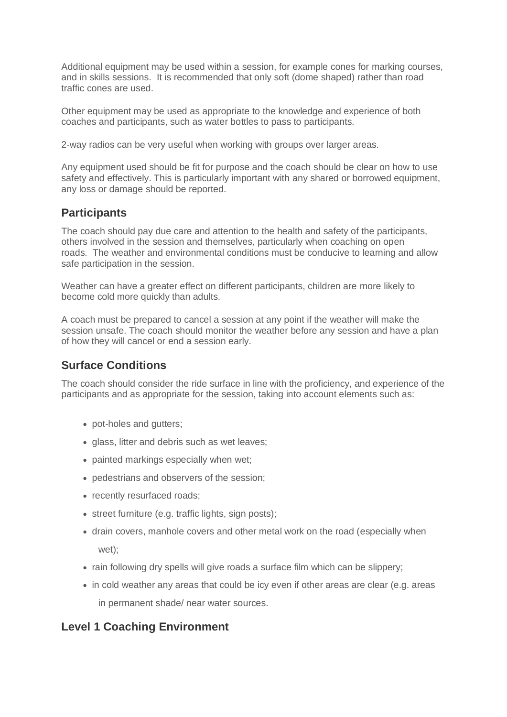Additional equipment may be used within a session, for example cones for marking courses, and in skills sessions. It is recommended that only soft (dome shaped) rather than road traffic cones are used.

Other equipment may be used as appropriate to the knowledge and experience of both coaches and participants, such as water bottles to pass to participants.

2-way radios can be very useful when working with groups over larger areas.

Any equipment used should be fit for purpose and the coach should be clear on how to use safety and effectively. This is particularly important with any shared or borrowed equipment, any loss or damage should be reported.

### **Participants**

The coach should pay due care and attention to the health and safety of the participants, others involved in the session and themselves, particularly when coaching on open roads. The weather and environmental conditions must be conducive to learning and allow safe participation in the session.

Weather can have a greater effect on different participants, children are more likely to become cold more quickly than adults.

A coach must be prepared to cancel a session at any point if the weather will make the session unsafe. The coach should monitor the weather before any session and have a plan of how they will cancel or end a session early.

### **Surface Conditions**

The coach should consider the ride surface in line with the proficiency, and experience of the participants and as appropriate for the session, taking into account elements such as:

- pot-holes and gutters;
- glass, litter and debris such as wet leaves:
- painted markings especially when wet;
- pedestrians and observers of the session;
- recently resurfaced roads;
- street furniture (e.g. traffic lights, sign posts);
- drain covers, manhole covers and other metal work on the road (especially when wet);
- rain following dry spells will give roads a surface film which can be slippery;
- in cold weather any areas that could be icy even if other areas are clear (e.g. areas in permanent shade/ near water sources.

### **Level 1 Coaching Environment**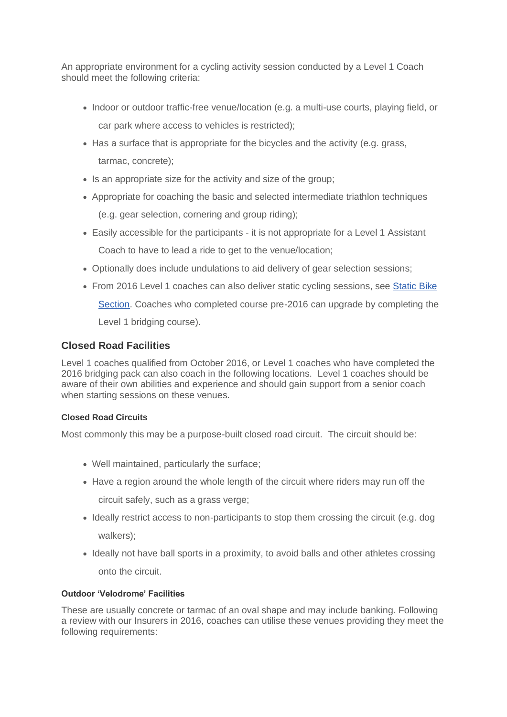An appropriate environment for a cycling activity session conducted by a Level 1 Coach should meet the following criteria:

- Indoor or outdoor traffic-free venue/location (e.g. a multi-use courts, playing field, or car park where access to vehicles is restricted);
- Has a surface that is appropriate for the bicycles and the activity (e.g. grass, tarmac, concrete);
- Is an appropriate size for the activity and size of the group;
- Appropriate for coaching the basic and selected intermediate triathlon techniques (e.g. gear selection, cornering and group riding);
- Easily accessible for the participants it is not appropriate for a Level 1 Assistant Coach to have to lead a ride to get to the venue/location:
- Optionally does include undulations to aid delivery of gear selection sessions;
- From 2016 Level 1 coaches can also deliver static cycling sessions, see [Static Bike](https://learninghub.britishtriathlon.org/mod/book/view.php?id=4019&chapterid=11337)  [Section.](https://learninghub.britishtriathlon.org/mod/book/view.php?id=4019&chapterid=11337) Coaches who completed course pre-2016 can upgrade by completing the Level 1 bridging course).

### **Closed Road Facilities**

Level 1 coaches qualified from October 2016, or Level 1 coaches who have completed the 2016 bridging pack can also coach in the following locations. Level 1 coaches should be aware of their own abilities and experience and should gain support from a senior coach when starting sessions on these venues.

#### **Closed Road Circuits**

Most commonly this may be a purpose-built closed road circuit. The circuit should be:

- Well maintained, particularly the surface;
- Have a region around the whole length of the circuit where riders may run off the circuit safely, such as a grass verge;
- Ideally restrict access to non-participants to stop them crossing the circuit (e.g. dog walkers);
- Ideally not have ball sports in a proximity, to avoid balls and other athletes crossing onto the circuit.

#### **Outdoor 'Velodrome' Facilities**

These are usually concrete or tarmac of an oval shape and may include banking. Following a review with our Insurers in 2016, coaches can utilise these venues providing they meet the following requirements: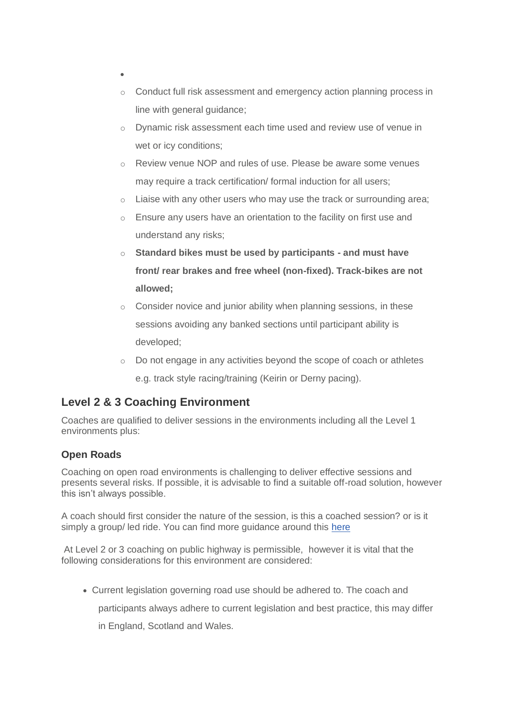- •
- o Conduct full risk assessment and emergency action planning process in line with general guidance;
- o Dynamic risk assessment each time used and review use of venue in wet or icy conditions;
- o Review venue NOP and rules of use. Please be aware some venues may require a track certification/ formal induction for all users;
- o Liaise with any other users who may use the track or surrounding area;
- o Ensure any users have an orientation to the facility on first use and understand any risks;
- o **Standard bikes must be used by participants - and must have front/ rear brakes and free wheel (non-fixed). Track-bikes are not allowed;**
- o Consider novice and junior ability when planning sessions, in these sessions avoiding any banked sections until participant ability is developed;
- o Do not engage in any activities beyond the scope of coach or athletes e.g. track style racing/training (Keirin or Derny pacing).

# **Level 2 & 3 Coaching Environment**

Coaches are qualified to deliver sessions in the environments including all the Level 1 environments plus:

### **Open Roads**

Coaching on open road environments is challenging to deliver effective sessions and presents several risks. If possible, it is advisable to find a suitable off-road solution, however this isn't always possible.

A coach should first consider the nature of the session, is this a coached session? or is it simply a group/ led ride. You can find more guidance around this [here](https://learninghub.britishtriathlon.org/mod/book/view.php?id=4019&chapterid=11347)

At Level 2 or 3 coaching on public highway is permissible, however it is vital that the following considerations for this environment are considered:

• Current legislation governing road use should be adhered to. The coach and

participants always adhere to current legislation and best practice, this may differ

in England, Scotland and Wales.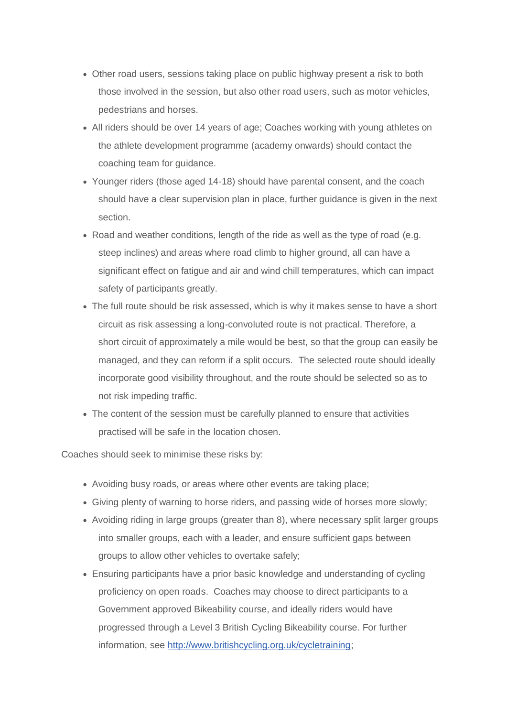- Other road users, sessions taking place on public highway present a risk to both those involved in the session, but also other road users, such as motor vehicles, pedestrians and horses.
- All riders should be over 14 years of age; Coaches working with young athletes on the athlete development programme (academy onwards) should contact the coaching team for guidance.
- Younger riders (those aged 14-18) should have parental consent, and the coach should have a clear supervision plan in place, further guidance is given in the next section.
- Road and weather conditions, length of the ride as well as the type of road (e.g. steep inclines) and areas where road climb to higher ground, all can have a significant effect on fatigue and air and wind chill temperatures, which can impact safety of participants greatly.
- The full route should be risk assessed, which is why it makes sense to have a short circuit as risk assessing a long-convoluted route is not practical. Therefore, a short circuit of approximately a mile would be best, so that the group can easily be managed, and they can reform if a split occurs. The selected route should ideally incorporate good visibility throughout, and the route should be selected so as to not risk impeding traffic.
- The content of the session must be carefully planned to ensure that activities practised will be safe in the location chosen.

Coaches should seek to minimise these risks by:

- Avoiding busy roads, or areas where other events are taking place;
- Giving plenty of warning to horse riders, and passing wide of horses more slowly;
- Avoiding riding in large groups (greater than 8), where necessary split larger groups into smaller groups, each with a leader, and ensure sufficient gaps between groups to allow other vehicles to overtake safely;
- Ensuring participants have a prior basic knowledge and understanding of cycling proficiency on open roads. Coaches may choose to direct participants to a Government approved Bikeability course, and ideally riders would have progressed through a Level 3 British Cycling Bikeability course. For further information, see [http://www.britishcycling.org.uk/cycletraining;](http://www.britishcycling.org.uk/cycletraining)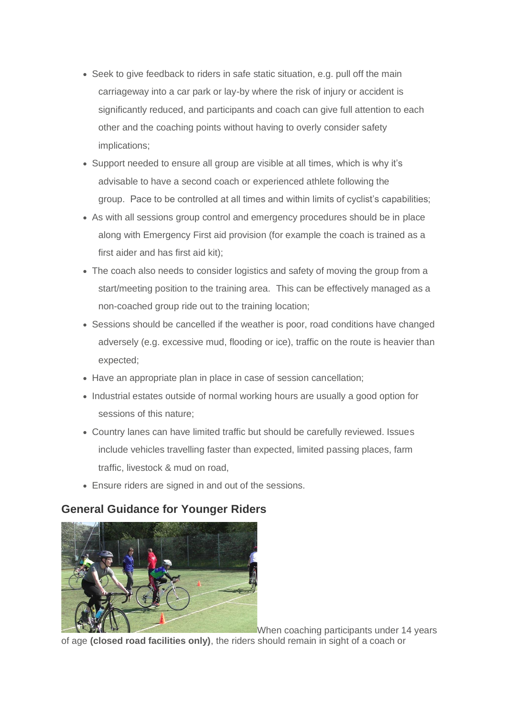- Seek to give feedback to riders in safe static situation, e.g. pull off the main carriageway into a car park or lay-by where the risk of injury or accident is significantly reduced, and participants and coach can give full attention to each other and the coaching points without having to overly consider safety implications;
- Support needed to ensure all group are visible at all times, which is why it's advisable to have a second coach or experienced athlete following the group. Pace to be controlled at all times and within limits of cyclist's capabilities;
- As with all sessions group control and emergency procedures should be in place along with Emergency First aid provision (for example the coach is trained as a first aider and has first aid kit);
- The coach also needs to consider logistics and safety of moving the group from a start/meeting position to the training area. This can be effectively managed as a non-coached group ride out to the training location;
- Sessions should be cancelled if the weather is poor, road conditions have changed adversely (e.g. excessive mud, flooding or ice), traffic on the route is heavier than expected;
- Have an appropriate plan in place in case of session cancellation;
- Industrial estates outside of normal working hours are usually a good option for sessions of this nature;
- Country lanes can have limited traffic but should be carefully reviewed. Issues include vehicles travelling faster than expected, limited passing places, farm traffic, livestock & mud on road,
- Ensure riders are signed in and out of the sessions.

### **General Guidance for Younger Riders**



When coaching participants under 14 years of age **(closed road facilities only)**, the riders should remain in sight of a coach or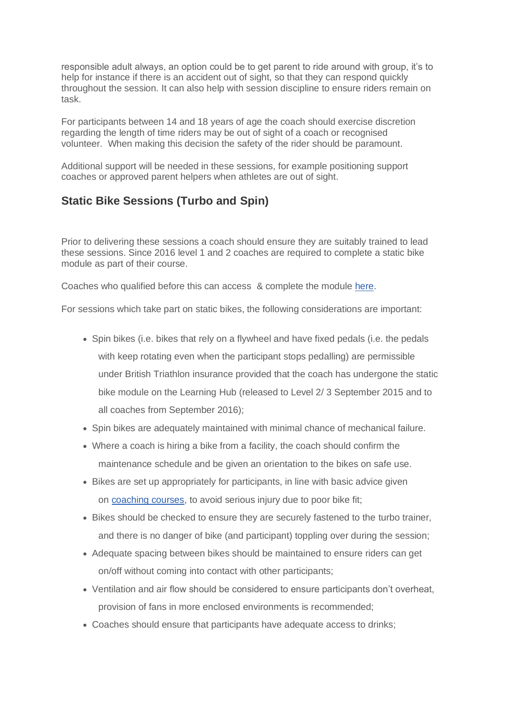responsible adult always, an option could be to get parent to ride around with group, it's to help for instance if there is an accident out of sight, so that they can respond quickly throughout the session. It can also help with session discipline to ensure riders remain on task.

For participants between 14 and 18 years of age the coach should exercise discretion regarding the length of time riders may be out of sight of a coach or recognised volunteer. When making this decision the safety of the rider should be paramount.

Additional support will be needed in these sessions, for example positioning support coaches or approved parent helpers when athletes are out of sight.

### **Static Bike Sessions (Turbo and Spin)**

Prior to delivering these sessions a coach should ensure they are suitably trained to lead these sessions. Since 2016 level 1 and 2 coaches are required to complete a static bike module as part of their course.

Coaches who qualified before this can access & complete the module [here.](https://learninghub.britishtriathlon.org/mod/book/view.php?id=3939)

For sessions which take part on static bikes, the following considerations are important:

- Spin bikes (i.e. bikes that rely on a flywheel and have fixed pedals (i.e. the pedals with keep rotating even when the participant stops pedalling) are permissible under British Triathlon insurance provided that the coach has undergone the static bike module on the Learning Hub (released to Level 2/ 3 September 2015 and to all coaches from September 2016);
- Spin bikes are adequately maintained with minimal chance of mechanical failure.
- Where a coach is hiring a bike from a facility, the coach should confirm the maintenance schedule and be given an orientation to the bikes on safe use.
- Bikes are set up appropriately for participants, in line with basic advice given on [coaching courses,](https://learninghub.britishtriathlon.org/mod/book/view.php?id=3943) to avoid serious injury due to poor bike fit;
- Bikes should be checked to ensure they are securely fastened to the turbo trainer, and there is no danger of bike (and participant) toppling over during the session;
- Adequate spacing between bikes should be maintained to ensure riders can get on/off without coming into contact with other participants;
- Ventilation and air flow should be considered to ensure participants don't overheat, provision of fans in more enclosed environments is recommended;
- Coaches should ensure that participants have adequate access to drinks;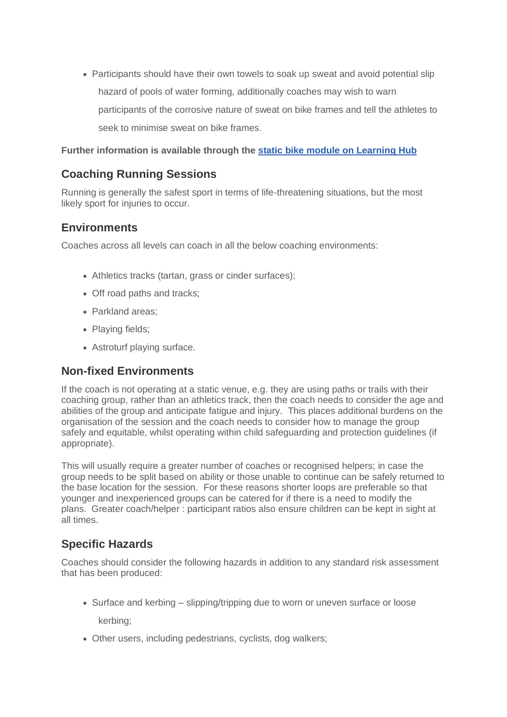• Participants should have their own towels to soak up sweat and avoid potential slip hazard of pools of water forming, additionally coaches may wish to warn participants of the corrosive nature of sweat on bike frames and tell the athletes to seek to minimise sweat on bike frames.

**Further information is available through the [static bike module on Learning Hub](https://learninghub.britishtriathlon.org/mod/book/view.php?id=3939)**

# **Coaching Running Sessions**

Running is generally the safest sport in terms of life-threatening situations, but the most likely sport for injuries to occur.

### **Environments**

Coaches across all levels can coach in all the below coaching environments:

- Athletics tracks (tartan, grass or cinder surfaces);
- Off road paths and tracks;
- Parkland areas;
- Playing fields;
- Astroturf playing surface.

### **Non-fixed Environments**

If the coach is not operating at a static venue, e.g. they are using paths or trails with their coaching group, rather than an athletics track, then the coach needs to consider the age and abilities of the group and anticipate fatigue and injury. This places additional burdens on the organisation of the session and the coach needs to consider how to manage the group safely and equitable, whilst operating within child safeguarding and protection guidelines (if appropriate).

This will usually require a greater number of coaches or recognised helpers; in case the group needs to be split based on ability or those unable to continue can be safely returned to the base location for the session. For these reasons shorter loops are preferable so that younger and inexperienced groups can be catered for if there is a need to modify the plans. Greater coach/helper : participant ratios also ensure children can be kept in sight at all times.

### **Specific Hazards**

Coaches should consider the following hazards in addition to any standard risk assessment that has been produced:

• Surface and kerbing – slipping/tripping due to worn or uneven surface or loose

kerbing;

• Other users, including pedestrians, cyclists, dog walkers;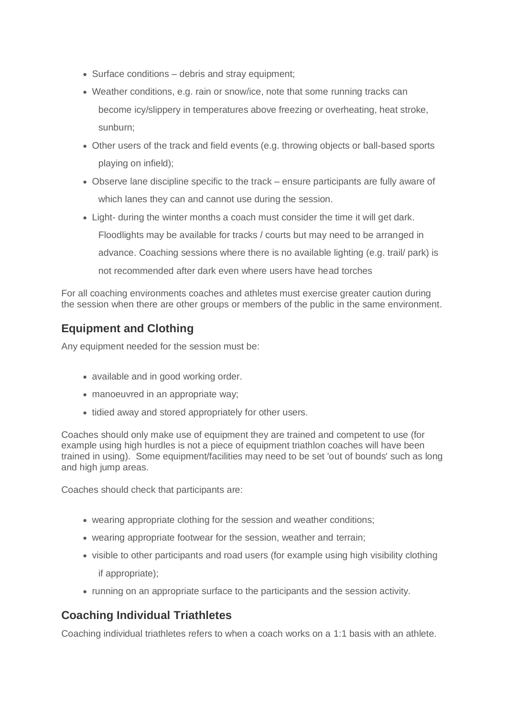- Surface conditions debris and stray equipment;
- Weather conditions, e.g. rain or snow/ice, note that some running tracks can become icy/slippery in temperatures above freezing or overheating, heat stroke, sunburn;
- Other users of the track and field events (e.g. throwing objects or ball-based sports playing on infield);
- Observe lane discipline specific to the track ensure participants are fully aware of which lanes they can and cannot use during the session.
- Light- during the winter months a coach must consider the time it will get dark. Floodlights may be available for tracks / courts but may need to be arranged in advance. Coaching sessions where there is no available lighting (e.g. trail/ park) is not recommended after dark even where users have head torches

For all coaching environments coaches and athletes must exercise greater caution during the session when there are other groups or members of the public in the same environment.

# **Equipment and Clothing**

Any equipment needed for the session must be:

- available and in good working order.
- manoeuvred in an appropriate way;
- tidied away and stored appropriately for other users.

Coaches should only make use of equipment they are trained and competent to use (for example using high hurdles is not a piece of equipment triathlon coaches will have been trained in using). Some equipment/facilities may need to be set 'out of bounds' such as long and high jump areas.

Coaches should check that participants are:

- wearing appropriate clothing for the session and weather conditions;
- wearing appropriate footwear for the session, weather and terrain;
- visible to other participants and road users (for example using high visibility clothing if appropriate);
- running on an appropriate surface to the participants and the session activity.

# **Coaching Individual Triathletes**

Coaching individual triathletes refers to when a coach works on a 1:1 basis with an athlete.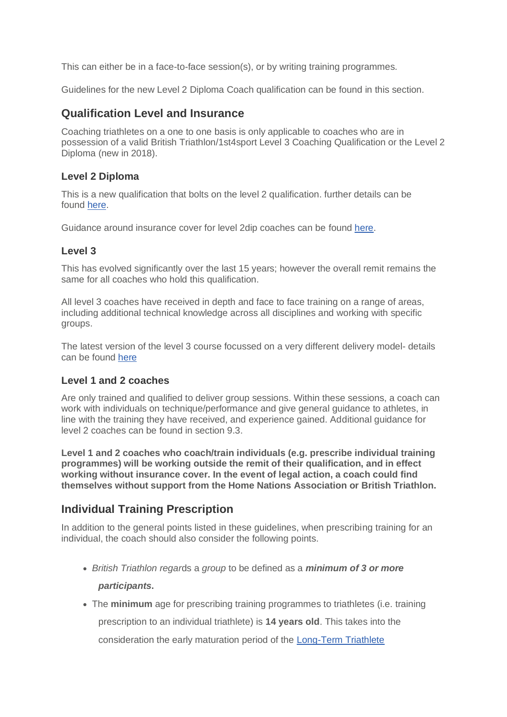This can either be in a face-to-face session(s), or by writing training programmes.

Guidelines for the new Level 2 Diploma Coach qualification can be found in this section.

### **Qualification Level and Insurance**

Coaching triathletes on a one to one basis is only applicable to coaches who are in possession of a valid British Triathlon/1st4sport Level 3 Coaching Qualification or the Level 2 Diploma (new in 2018).

#### **Level 2 Diploma**

This is a new qualification that bolts on the level 2 qualification. further details can be found [here.](https://www.britishtriathlon.org/get-involved/coaching/become-a-coach/qualifications/level-2-diploma)

Guidance around insurance cover for level 2dip coaches can be found [here.](https://learninghub.britishtriathlon.org/mod/book/view.php?id=3858&chapterid=10517)

#### **Level 3**

This has evolved significantly over the last 15 years; however the overall remit remains the same for all coaches who hold this qualification.

All level 3 coaches have received in depth and face to face training on a range of areas, including additional technical knowledge across all disciplines and working with specific groups.

The latest version of the level 3 course focussed on a very different delivery model- details can be found [here](https://www.britishtriathlon.org/get-involved/coaching/become-a-coach/qualifications/level-3)

#### **Level 1 and 2 coaches**

Are only trained and qualified to deliver group sessions. Within these sessions, a coach can work with individuals on technique/performance and give general guidance to athletes, in line with the training they have received, and experience gained. Additional guidance for level 2 coaches can be found in section 9.3.

**Level 1 and 2 coaches who coach/train individuals (e.g. prescribe individual training programmes) will be working outside the remit of their qualification, and in effect working without insurance cover. In the event of legal action, a coach could find themselves without support from the Home Nations Association or British Triathlon.**

### **Individual Training Prescription**

In addition to the general points listed in these guidelines, when prescribing training for an individual, the coach should also consider the following points.

- *British Triathlon regar*ds a *group* to be defined as a *minimum of 3 or more participants***.**
- The **minimum** age for prescribing training programmes to triathletes (i.e. training

prescription to an individual triathlete) is **14 years old**. This takes into the

consideration the early maturation period of the [Long-Term Triathlete](https://learninghub.britishtriathlon.org/mod/book/view.php?id=3885&chapterid=10623)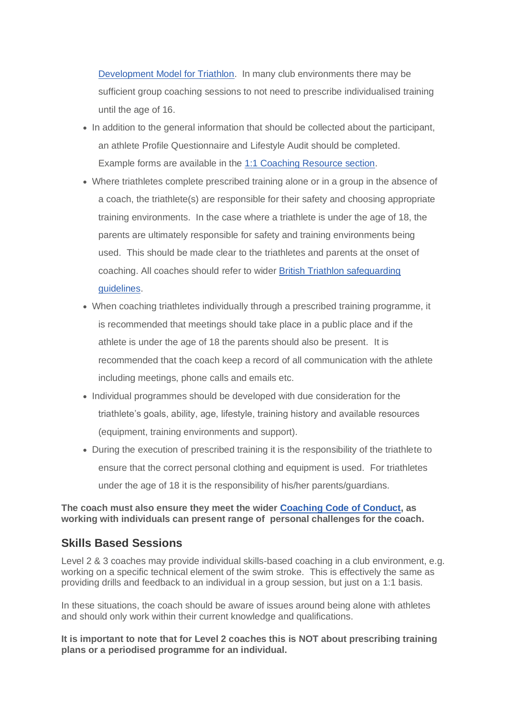[Development Model for Triathlon.](https://learninghub.britishtriathlon.org/mod/book/view.php?id=3885&chapterid=10623) In many club environments there may be sufficient group coaching sessions to not need to prescribe individualised training until the age of 16.

- In addition to the general information that should be collected about the participant, an athlete Profile Questionnaire and Lifestyle Audit should be completed. Example forms are available in the [1:1 Coaching Resource section.](https://learninghub.britishtriathlon.org/mod/data/view.php?id=4023)
- Where triathletes complete prescribed training alone or in a group in the absence of a coach, the triathlete(s) are responsible for their safety and choosing appropriate training environments. In the case where a triathlete is under the age of 18, the parents are ultimately responsible for safety and training environments being used. This should be made clear to the triathletes and parents at the onset of coaching. All coaches should refer to wider [British Triathlon safeguarding](https://www.britishtriathlon.org/about-us/safeguarding)  [guidelines.](https://www.britishtriathlon.org/about-us/safeguarding)
- When coaching triathletes individually through a prescribed training programme, it is recommended that meetings should take place in a public place and if the athlete is under the age of 18 the parents should also be present. It is recommended that the coach keep a record of all communication with the athlete including meetings, phone calls and emails etc.
- Individual programmes should be developed with due consideration for the triathlete's goals, ability, age, lifestyle, training history and available resources (equipment, training environments and support).
- During the execution of prescribed training it is the responsibility of the triathlete to ensure that the correct personal clothing and equipment is used. For triathletes under the age of 18 it is the responsibility of his/her parents/guardians.

#### **The coach must also ensure they meet the wider [Coaching Code of Conduct,](https://learninghub.britishtriathlon.org/mod/data/view.php?d=169&rid=24410) as working with individuals can present range of personal challenges for the coach.**

### **Skills Based Sessions**

Level 2 & 3 coaches may provide individual skills-based coaching in a club environment, e.g. working on a specific technical element of the swim stroke. This is effectively the same as providing drills and feedback to an individual in a group session, but just on a 1:1 basis.

In these situations, the coach should be aware of issues around being alone with athletes and should only work within their current knowledge and qualifications.

**It is important to note that for Level 2 coaches this is NOT about prescribing training plans or a periodised programme for an individual.**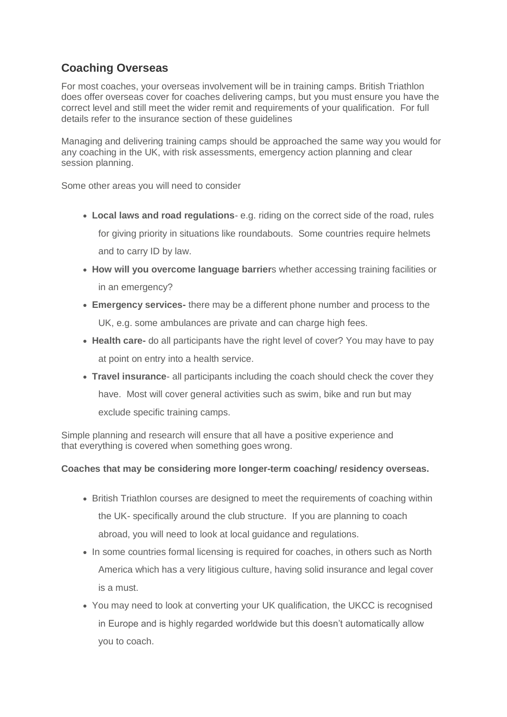# **Coaching Overseas**

For most coaches, your overseas involvement will be in training camps. British Triathlon does offer overseas cover for coaches delivering camps, but you must ensure you have the correct level and still meet the wider remit and requirements of your qualification. For full details refer to the insurance section of these guidelines

Managing and delivering training camps should be approached the same way you would for any coaching in the UK, with risk assessments, emergency action planning and clear session planning.

Some other areas you will need to consider

- **Local laws and road regulations** e.g. riding on the correct side of the road, rules for giving priority in situations like roundabouts. Some countries require helmets and to carry ID by law.
- **How will you overcome language barrier**s whether accessing training facilities or in an emergency?
- **Emergency services-** there may be a different phone number and process to the UK, e.g. some ambulances are private and can charge high fees.
- **Health care-** do all participants have the right level of cover? You may have to pay at point on entry into a health service.
- **Travel insurance** all participants including the coach should check the cover they have. Most will cover general activities such as swim, bike and run but may exclude specific training camps.

Simple planning and research will ensure that all have a positive experience and that everything is covered when something goes wrong.

#### **Coaches that may be considering more longer-term coaching/ residency overseas.**

- British Triathlon courses are designed to meet the requirements of coaching within the UK- specifically around the club structure. If you are planning to coach abroad, you will need to look at local guidance and regulations.
- In some countries formal licensing is required for coaches, in others such as North America which has a very litigious culture, having solid insurance and legal cover is a must.
- You may need to look at converting your UK qualification, the UKCC is recognised in Europe and is highly regarded worldwide but this doesn't automatically allow you to coach.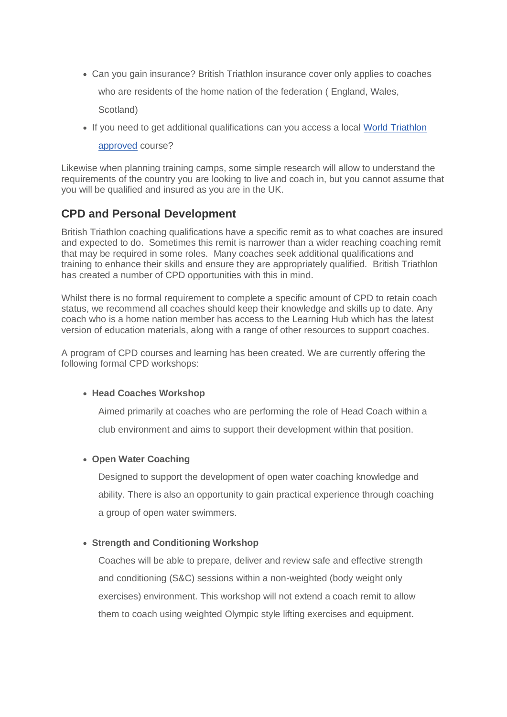• Can you gain insurance? British Triathlon insurance cover only applies to coaches

who are residents of the home nation of the federation ( England, Wales,

Scotland)

• If you need to get additional qualifications can you access a local [World Triathlon](https://www.triathlon.org/development/coach/accredited_coach_education_program) 

[approved](https://www.triathlon.org/development/coach/accredited_coach_education_program) course?

Likewise when planning training camps, some simple research will allow to understand the requirements of the country you are looking to live and coach in, but you cannot assume that you will be qualified and insured as you are in the UK.

### **CPD and Personal Development**

British Triathlon coaching qualifications have a specific remit as to what coaches are insured and expected to do. Sometimes this remit is narrower than a wider reaching coaching remit that may be required in some roles. Many coaches seek additional qualifications and training to enhance their skills and ensure they are appropriately qualified. British Triathlon has created a number of CPD opportunities with this in mind.

Whilst there is no formal requirement to complete a specific amount of CPD to retain coach status, we recommend all coaches should keep their knowledge and skills up to date. Any coach who is a home nation member has access to the Learning Hub which has the latest version of education materials, along with a range of other resources to support coaches.

A program of CPD courses and learning has been created. We are currently offering the following formal CPD workshops:

#### • **Head Coaches Workshop**

Aimed primarily at coaches who are performing the role of Head Coach within a

club environment and aims to support their development within that position.

#### • **Open Water Coaching**

Designed to support the development of open water coaching knowledge and ability. There is also an opportunity to gain practical experience through coaching a group of open water swimmers.

#### • **Strength and Conditioning Workshop**

Coaches will be able to prepare, deliver and review safe and effective strength and conditioning (S&C) sessions within a non-weighted (body weight only exercises) environment. This workshop will not extend a coach remit to allow them to coach using weighted Olympic style lifting exercises and equipment.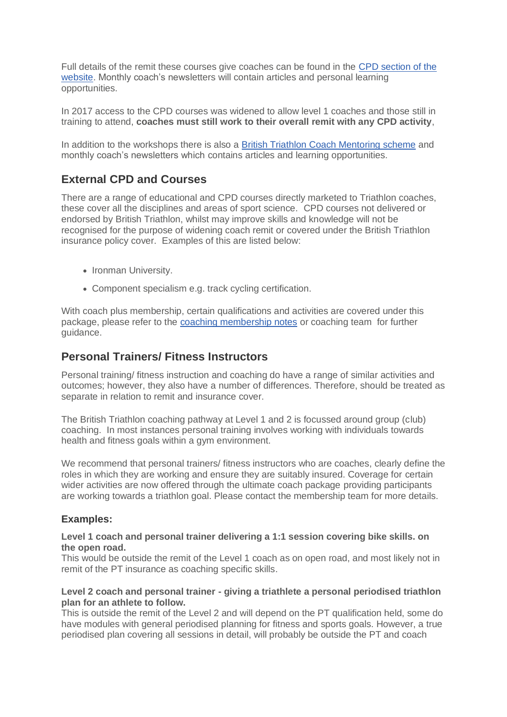Full details of the remit these courses give coaches can be found in the [CPD section of the](https://www.britishtriathlon.org/get-involved/coaching/coach-development/workshops)  [website.](https://www.britishtriathlon.org/get-involved/coaching/coach-development/workshops) Monthly coach's newsletters will contain articles and personal learning opportunities.

In 2017 access to the CPD courses was widened to allow level 1 coaches and those still in training to attend, **coaches must still work to their overall remit with any CPD activity**,

In addition to the workshops there is also a [British Triathlon Coach Mentoring scheme](https://www.britishtriathlon.org/get-involved/coaching/coach-support-scheme) and monthly coach's newsletters which contains articles and learning opportunities.

### **External CPD and Courses**

There are a range of educational and CPD courses directly marketed to Triathlon coaches, these cover all the disciplines and areas of sport science. CPD courses not delivered or endorsed by British Triathlon, whilst may improve skills and knowledge will not be recognised for the purpose of widening coach remit or covered under the British Triathlon insurance policy cover. Examples of this are listed below:

- Ironman University.
- Component specialism e.g. track cycling certification.

With coach plus membership, certain qualifications and activities are covered under this package, please refer to the [coaching membership notes](https://www.britishtriathlon.org/get-involved/coaching/coaching-guidelines-and-insurance) or coaching team for further guidance.

### **Personal Trainers/ Fitness Instructors**

Personal training/ fitness instruction and coaching do have a range of similar activities and outcomes; however, they also have a number of differences. Therefore, should be treated as separate in relation to remit and insurance cover.

The British Triathlon coaching pathway at Level 1 and 2 is focussed around group (club) coaching. In most instances personal training involves working with individuals towards health and fitness goals within a gym environment.

We recommend that personal trainers/ fitness instructors who are coaches, clearly define the roles in which they are working and ensure they are suitably insured. Coverage for certain wider activities are now offered through the ultimate coach package providing participants are working towards a triathlon goal. Please contact the membership team for more details.

#### **Examples:**

#### **Level 1 coach and personal trainer delivering a 1:1 session covering bike skills. on the open road.**

This would be outside the remit of the Level 1 coach as on open road, and most likely not in remit of the PT insurance as coaching specific skills.

#### **Level 2 coach and personal trainer - giving a triathlete a personal periodised triathlon plan for an athlete to follow.**

This is outside the remit of the Level 2 and will depend on the PT qualification held, some do have modules with general periodised planning for fitness and sports goals. However, a true periodised plan covering all sessions in detail, will probably be outside the PT and coach